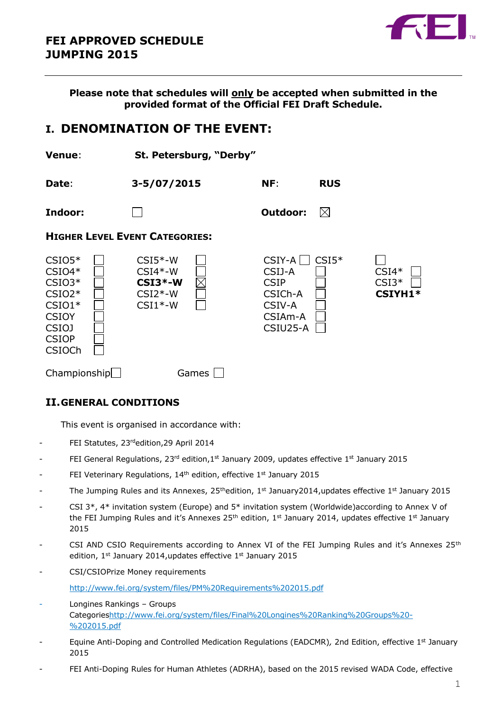

**Please note that schedules will only be accepted when submitted in the provided format of the Official FEI Draft Schedule.**

# **I. DENOMINATION OF THE EVENT:**

| <b>Venue:</b>                                                                                                             | St. Petersburg, "Derby"                                       |                                                                               |             |                               |
|---------------------------------------------------------------------------------------------------------------------------|---------------------------------------------------------------|-------------------------------------------------------------------------------|-------------|-------------------------------|
| Date:                                                                                                                     | 3-5/07/2015                                                   | NF:                                                                           | <b>RUS</b>  |                               |
| Indoor:                                                                                                                   |                                                               | Outdoor:                                                                      | $\boxtimes$ |                               |
|                                                                                                                           | <b>HIGHER LEVEL EVENT CATEGORIES:</b>                         |                                                                               |             |                               |
| $CSIO5*$<br>$CSIO4*$<br>$CSIO3*$<br>$CSIO2*$<br>$CSIO1*$<br><b>CSIOY</b><br><b>CSIOJ</b><br><b>CSIOP</b><br><b>CSIOCh</b> | $CSI5*-W$<br>$CSI4*-W$<br>$CSI3*-W$<br>$CSI2*-W$<br>$CSI1*-W$ | $CSIY-A$<br>CSIJ-A<br><b>CSIP</b><br>CSICh-A<br>CSIV-A<br>CSIAm-A<br>CSIU25-A | $CSI5*$     | $CSI4*$<br>$CSI3*$<br>CSIYH1* |
| Championship                                                                                                              | Games                                                         |                                                                               |             |                               |

## **II.GENERAL CONDITIONS**

This event is organised in accordance with:

- FEI Statutes, 23rdedition, 29 April 2014
- FEI General Regulations, 23<sup>rd</sup> edition,1<sup>st</sup> January 2009, updates effective 1<sup>st</sup> January 2015
- FEI Veterinary Regulations, 14<sup>th</sup> edition, effective 1<sup>st</sup> January 2015
- The Jumping Rules and its Annexes,  $25<sup>th</sup>$ edition,  $1<sup>st</sup>$  January2014,updates effective  $1<sup>st</sup>$  January 2015
- CSI 3\*, 4\* invitation system (Europe) and 5\* invitation system (Worldwide)according to Annex V of the FEI Jumping Rules and it's Annexes 25<sup>th</sup> edition, 1st January 2014, updates effective 1st January 2015
- CSI AND CSIO Requirements according to Annex VI of the FEI Jumping Rules and it's Annexes  $25<sup>th</sup>$ edition, 1<sup>st</sup> January 2014, updates effective 1st January 2015
- CSI/CSIOPrize Money requirements

<http://www.fei.org/system/files/PM%20Requirements%202015.pdf>

- Longines Rankings Groups Categorie[shttp://www.fei.org/system/files/Final%20Longines%20Ranking%20Groups%20-](http://www.fei.org/system/files/Final%20Longines%20Ranking%20Groups%20-%202015.pdf) [%202015.pdf](http://www.fei.org/system/files/Final%20Longines%20Ranking%20Groups%20-%202015.pdf)
- Equine Anti-Doping and Controlled Medication Regulations (EADCMR)*,* 2nd Edition, effective 1st January 2015
- FEI Anti-Doping Rules for Human Athletes (ADRHA), based on the 2015 revised WADA Code, effective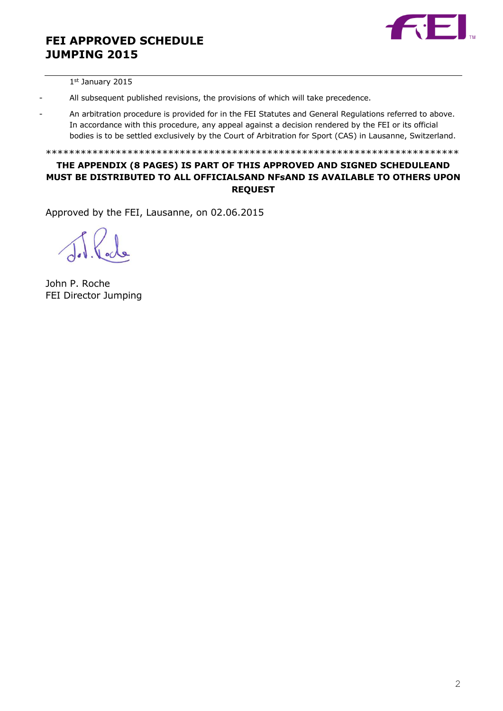

1 st January 2015

- All subsequent published revisions, the provisions of which will take precedence.
- An arbitration procedure is provided for in the FEI Statutes and General Regulations referred to above. In accordance with this procedure, any appeal against a decision rendered by the FEI or its official bodies is to be settled exclusively by the Court of Arbitration for Sport (CAS) in Lausanne, Switzerland.

\*\*\*\*\*\*\*\*\*\*\*\*\*\*\*\*\*\*\*\*\*\*\*\*\*\*\*\*\*\*\*\*\*\*\*\*\*\*\*\*\*\*\*\*\*\*\*\*\*\*\*\*\*\*\*\*\*\*\*\*\*\*\*\*\*\*\*\*\*\*\*

## **THE APPENDIX (8 PAGES) IS PART OF THIS APPROVED AND SIGNED SCHEDULEAND MUST BE DISTRIBUTED TO ALL OFFICIALSAND NFsAND IS AVAILABLE TO OTHERS UPON REQUEST**

Approved by the FEI, Lausanne, on 02.06.2015

John P. Roche FEI Director Jumping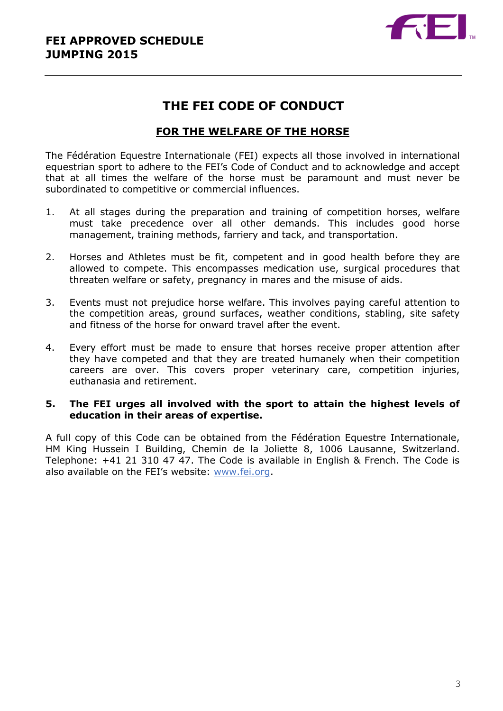

# **THE FEI CODE OF CONDUCT**

## **FOR THE WELFARE OF THE HORSE**

The Fédération Equestre Internationale (FEI) expects all those involved in international equestrian sport to adhere to the FEI's Code of Conduct and to acknowledge and accept that at all times the welfare of the horse must be paramount and must never be subordinated to competitive or commercial influences.

- 1. At all stages during the preparation and training of competition horses, welfare must take precedence over all other demands. This includes good horse management, training methods, farriery and tack, and transportation.
- 2. Horses and Athletes must be fit, competent and in good health before they are allowed to compete. This encompasses medication use, surgical procedures that threaten welfare or safety, pregnancy in mares and the misuse of aids.
- 3. Events must not prejudice horse welfare. This involves paying careful attention to the competition areas, ground surfaces, weather conditions, stabling, site safety and fitness of the horse for onward travel after the event.
- 4. Every effort must be made to ensure that horses receive proper attention after they have competed and that they are treated humanely when their competition careers are over. This covers proper veterinary care, competition injuries, euthanasia and retirement.

## **5. The FEI urges all involved with the sport to attain the highest levels of education in their areas of expertise.**

A full copy of this Code can be obtained from the Fédération Equestre Internationale, HM King Hussein I Building, Chemin de la Joliette 8, 1006 Lausanne, Switzerland. Telephone: +41 21 310 47 47. The Code is available in English & French. The Code is also available on the FEI's website: [www.fei.org.](http://www.fei.org/)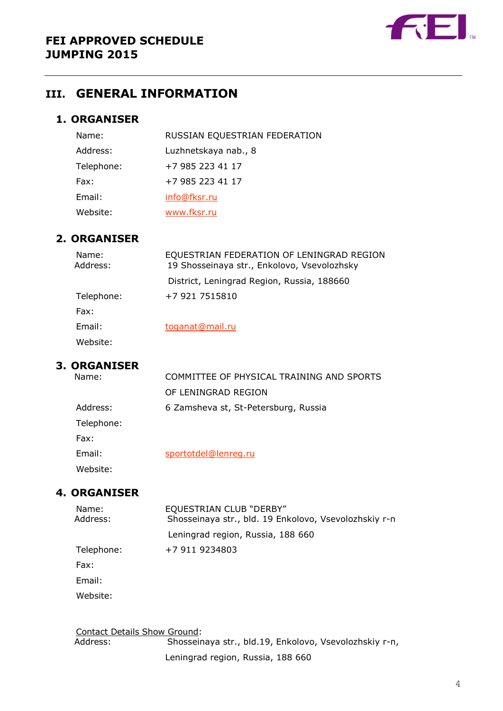

# **III. GENERAL INFORMATION**

## **1. ORGANISER**

| Name:      | RUSSIAN EQUESTRIAN FEDERATION |
|------------|-------------------------------|
| Address:   | Luzhnetskaya nab., 8          |
| Telephone: | +7 985 223 41 17              |
| Fax:       | +7 985 223 41 17              |
| Email:     | info@fksr.ru                  |
| Website:   | www.fksr.ru                   |

## **2. ORGANISER**

| Name:<br>Address: | EQUESTRIAN FEDERATION OF LENINGRAD REGION<br>19 Shosseinaya str., Enkolovo, Vsevolozhsky |
|-------------------|------------------------------------------------------------------------------------------|
|                   | District, Leningrad Region, Russia, 188660                                               |
| Telephone:        | +7 921 7515810                                                                           |
| Fax:              |                                                                                          |
| Email:            | toganat@mail.ru                                                                          |
| Website:          |                                                                                          |

# **3. ORGANISER**

| Name:      | COMMITTEE OF PHYSICAL TRAINING AND SPORTS |
|------------|-------------------------------------------|
|            | OF LENINGRAD REGION                       |
| Address:   | 6 Zamsheva st, St-Petersburg, Russia      |
| Telephone: |                                           |
| Fax:       |                                           |
| Email:     | sportotdel@lenreg.ru                      |
| Website:   |                                           |

## **4. ORGANISER**

| Name:<br>Address: | <b>EQUESTRIAN CLUB "DERBY"</b><br>Shosseinaya str., bld. 19 Enkolovo, Vsevolozhskiy r-n |
|-------------------|-----------------------------------------------------------------------------------------|
|                   | Leningrad region, Russia, 188 660                                                       |
| Telephone:        | +7 911 9234803                                                                          |
| Fax:              |                                                                                         |
| Email:            |                                                                                         |
| Website:          |                                                                                         |

Contact Details Show Ground: Address: Shosseinaya str., bld.19, Enkolovo, Vsevolozhskiy r-n,

Leningrad region, Russia, 188 660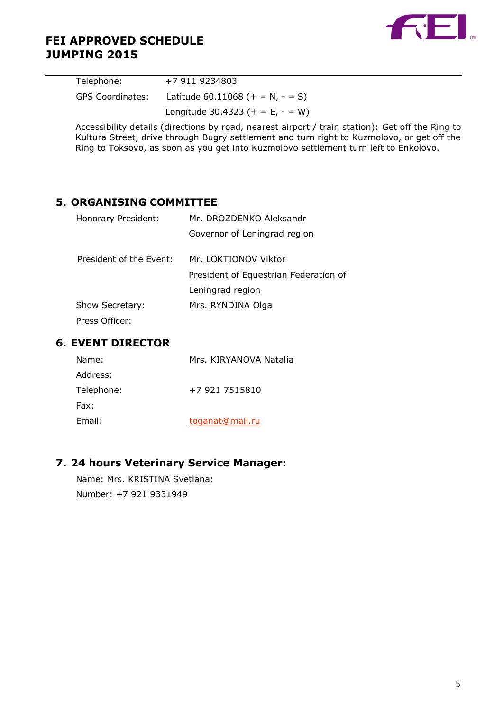

| Telephone:              | +7 911 9234803                          |
|-------------------------|-----------------------------------------|
| <b>GPS Coordinates:</b> | Latitude $60.11068$ (+ = N, - = S)      |
|                         | Longitude 30.4323 ( $+ = E$ , $- = W$ ) |

Accessibility details (directions by road, nearest airport / train station): Get off the Ring to Kultura Street, drive through Bugry settlement and turn right to Kuzmolovo, or get off the Ring to Toksovo, as soon as you get into Kuzmolovo settlement turn left to Enkolovo.

## **5. ORGANISING COMMITTEE**

| Honorary President:     | Mr. DROZDENKO Aleksandr               |  |  |  |  |
|-------------------------|---------------------------------------|--|--|--|--|
|                         | Governor of Leningrad region          |  |  |  |  |
| President of the Event: | Mr. LOKTIONOV Viktor                  |  |  |  |  |
|                         | President of Equestrian Federation of |  |  |  |  |
|                         | Leningrad region                      |  |  |  |  |
| Show Secretary:         | Mrs. RYNDINA Olga                     |  |  |  |  |
| Press Officer:          |                                       |  |  |  |  |

## **6. EVENT DIRECTOR**

| Name:      | Mrs. KIRYANOVA Natalia |
|------------|------------------------|
| Address:   |                        |
| Telephone: | +7 921 7515810         |
| Fax:       |                        |
| Email:     | toganat@mail.ru        |

## **7. 24 hours Veterinary Service Manager:**

Name: Mrs. KRISTINA Svetlana: Number: +7 921 9331949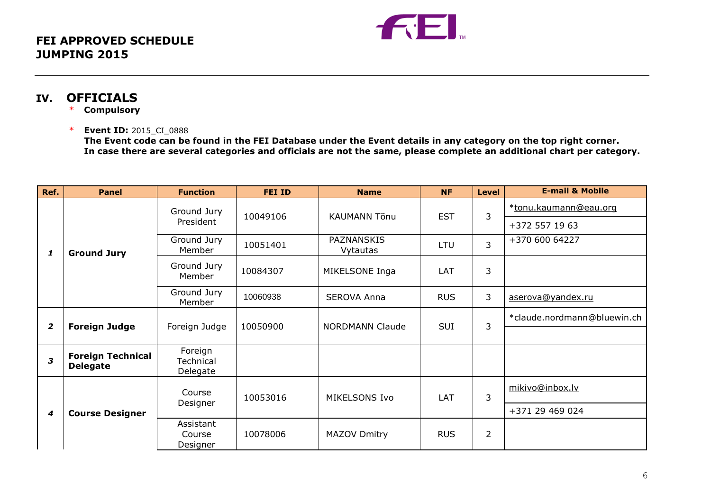

## **IV. OFFICIALS**

- \* **Compulsory**
- \* **Event ID:** 2015\_CI\_0888

**The Event code can be found in the FEI Database under the Event details in any category on the top right corner. In case there are several categories and officials are not the same, please complete an additional chart per category.**

| Ref.           | <b>Panel</b>                                | <b>Function</b>                  | <b>FEI ID</b>                                    | <b>Name</b>            | <b>NF</b>  | Level          | <b>E-mail &amp; Mobile</b>  |
|----------------|---------------------------------------------|----------------------------------|--------------------------------------------------|------------------------|------------|----------------|-----------------------------|
|                |                                             | Ground Jury                      | 10049106                                         | <b>KAUMANN Tõnu</b>    | <b>EST</b> | 3              | *tonu.kaumann@eau.org       |
|                |                                             | President                        |                                                  |                        |            |                | +372 557 19 63              |
| 1              | <b>Ground Jury</b>                          | Ground Jury<br>Member            | 10051401                                         | PAZNANSKIS<br>Vytautas | <b>LTU</b> | $\overline{3}$ | +370 600 64227              |
|                |                                             | Ground Jury<br>Member            | 10084307                                         | MIKELSONE Inga         | LAT        | 3              |                             |
|                |                                             | Ground Jury<br>Member            | 10060938                                         | <b>SEROVA Anna</b>     | <b>RUS</b> | 3              | aserova@yandex.ru           |
|                | <b>Foreign Judge</b>                        |                                  |                                                  |                        |            |                | *claude.nordmann@bluewin.ch |
| $\overline{2}$ |                                             | Foreign Judge                    | <b>SUI</b><br>10050900<br><b>NORDMANN Claude</b> | 3                      |            |                |                             |
| 3              | <b>Foreign Technical</b><br><b>Delegate</b> | Foreign<br>Technical<br>Delegate |                                                  |                        |            |                |                             |
| 4              | <b>Course Designer</b>                      | Course                           | 10053016                                         | MIKELSONS Ivo          | LAT        | 3              | mikivo@inbox.lv             |
|                |                                             | Designer                         |                                                  |                        |            |                | +371 29 469 024             |
|                |                                             | Assistant<br>Course<br>Designer  | 10078006                                         | MAZOV Dmitry           | <b>RUS</b> | $\overline{2}$ |                             |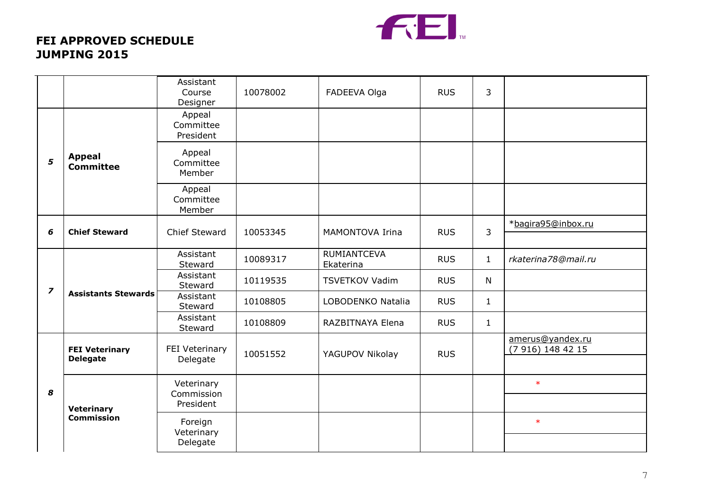

|                         |                                          | Assistant<br>Course<br>Designer  | 10078002 | FADEEVA Olga                    | <b>RUS</b> | 3            |                                       |
|-------------------------|------------------------------------------|----------------------------------|----------|---------------------------------|------------|--------------|---------------------------------------|
| 5                       | <b>Appeal</b><br><b>Committee</b>        | Appeal<br>Committee<br>President |          |                                 |            |              |                                       |
|                         |                                          | Appeal<br>Committee<br>Member    |          |                                 |            |              |                                       |
|                         |                                          | Appeal<br>Committee<br>Member    |          |                                 |            |              |                                       |
| 6                       | <b>Chief Steward</b>                     | Chief Steward                    | 10053345 | MAMONTOVA Irina                 | <b>RUS</b> | 3            | *bagira95@inbox.ru                    |
|                         | <b>Assistants Stewards</b>               | Assistant<br>Steward             | 10089317 | <b>RUMIANTCEVA</b><br>Ekaterina | <b>RUS</b> | $\mathbf{1}$ | rkaterina78@mail.ru                   |
|                         |                                          | Assistant<br>Steward             | 10119535 | <b>TSVETKOV Vadim</b>           | <b>RUS</b> | $\mathsf{N}$ |                                       |
| $\overline{\mathbf{z}}$ |                                          | Assistant<br>Steward             | 10108805 | LOBODENKO Natalia               | <b>RUS</b> | $\mathbf{1}$ |                                       |
|                         |                                          | Assistant<br>Steward             | 10108809 | RAZBITNAYA Elena                | <b>RUS</b> | $\mathbf{1}$ |                                       |
|                         | <b>FEI Veterinary</b><br><b>Delegate</b> | FEI Veterinary<br>Delegate       | 10051552 | YAGUPOV Nikolay                 | <b>RUS</b> |              | amerus@yandex.ru<br>(7 916) 148 42 15 |
| 8                       | <b>Veterinary</b><br><b>Commission</b>   | Veterinary                       |          |                                 |            |              | $\ast$                                |
|                         |                                          | Commission<br>President          |          |                                 |            |              |                                       |
|                         |                                          | Foreign<br>Veterinary            |          |                                 |            |              | $\ast$                                |
|                         |                                          | Delegate                         |          |                                 |            |              |                                       |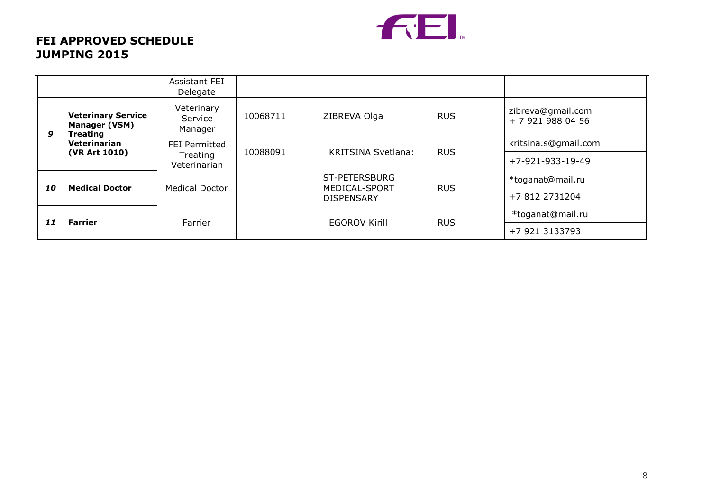

|    |                                                                                                            | Assistant FEI<br>Delegate        |          |                                |            |                                        |
|----|------------------------------------------------------------------------------------------------------------|----------------------------------|----------|--------------------------------|------------|----------------------------------------|
|    | <b>Veterinary Service</b><br><b>Manager (VSM)</b><br>9<br><b>Treating</b><br>Veterinarian<br>(VR Art 1010) | Veterinary<br>Service<br>Manager | 10068711 | ZIBREVA Olga                   | <b>RUS</b> | zibreva@gmail.com<br>+ 7 921 988 04 56 |
|    |                                                                                                            | <b>FEI Permitted</b>             | 10088091 | <b>KRITSINA Svetlana:</b>      | <b>RUS</b> | kritsina.s@gmail.com                   |
|    |                                                                                                            | Treating<br>Veterinarian         |          |                                |            | +7-921-933-19-49                       |
| 10 | <b>Medical Doctor</b>                                                                                      | <b>Medical Doctor</b>            |          | ST-PETERSBURG<br>MEDICAL-SPORT | <b>RUS</b> | *toganat@mail.ru                       |
|    |                                                                                                            |                                  |          | <b>DISPENSARY</b>              |            | +7 812 2731204                         |
|    | 11<br><b>Farrier</b>                                                                                       |                                  |          |                                | <b>RUS</b> | *toganat@mail.ru                       |
|    |                                                                                                            | Farrier                          |          | <b>EGOROV Kirill</b>           |            | +7 921 3133793                         |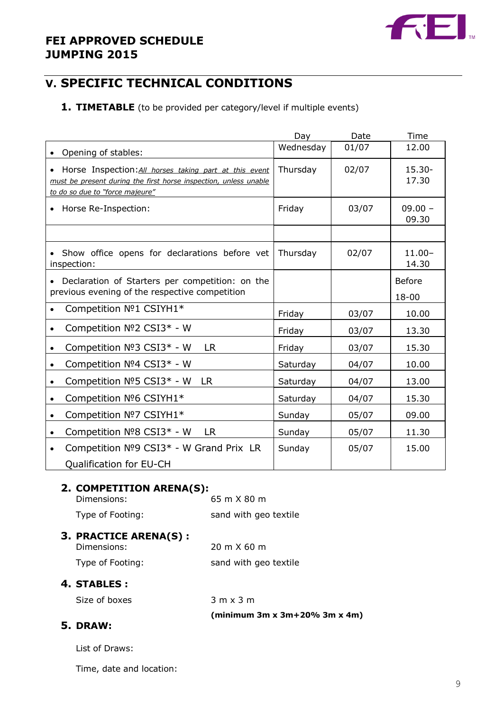

# **V. SPECIFIC TECHNICAL CONDITIONS**

## **1. TIMETABLE** (to be provided per category/level if multiple events)

|                                                                                                                                                                 | Day       | Date  | Time                   |
|-----------------------------------------------------------------------------------------------------------------------------------------------------------------|-----------|-------|------------------------|
| Opening of stables:                                                                                                                                             | Wednesday | 01/07 | 12.00                  |
| • Horse Inspection: All horses taking part at this event<br>must be present during the first horse inspection, unless unable<br>to do so due to "force majeure" | Thursday  | 02/07 | $15.30 -$<br>17.30     |
| Horse Re-Inspection:                                                                                                                                            | Friday    | 03/07 | $09.00 -$<br>09.30     |
|                                                                                                                                                                 |           |       |                        |
| • Show office opens for declarations before vet<br>inspection:                                                                                                  | Thursday  | 02/07 | $11.00 -$<br>14.30     |
| Declaration of Starters per competition: on the<br>previous evening of the respective competition                                                               |           |       | <b>Before</b><br>18-00 |
| Competition Nº1 CSIYH1*                                                                                                                                         | Friday    | 03/07 | 10.00                  |
| Competition Nº2 CSI3* - W                                                                                                                                       | Friday    | 03/07 | 13.30                  |
| Competition Nº3 CSI3* - W<br><b>LR</b><br>$\bullet$                                                                                                             | Friday    | 03/07 | 15.30                  |
| Competition Nº4 CSI3* - W                                                                                                                                       | Saturday  | 04/07 | 10.00                  |
| Competition Nº5 CSI3* - W<br><b>LR</b>                                                                                                                          | Saturday  | 04/07 | 13.00                  |
| Competition Nº6 CSIYH1*                                                                                                                                         | Saturday  | 04/07 | 15.30                  |
| Competition Nº7 CSIYH1*                                                                                                                                         | Sunday    | 05/07 | 09.00                  |
| Competition Nº8 CSI3* - W<br><b>LR</b><br>$\bullet$                                                                                                             | Sunday    | 05/07 | 11.30                  |
| Competition Nº9 CSI3* - W Grand Prix LR                                                                                                                         | Sunday    | 05/07 | 15.00                  |
| Qualification for EU-CH                                                                                                                                         |           |       |                        |

## **2. COMPETITION ARENA(S):**

| Dimensions:      | 65 m X 80 m           |
|------------------|-----------------------|
| Type of Footing: | sand with geo textile |

## **3. PRACTICE ARENA(S) :**

| Dimensions:      | 20 m X 60 m           |
|------------------|-----------------------|
| Type of Footing: | sand with geo textile |

## **4. STABLES :**

Size of boxes 3 m x 3 m

**(minimum 3m x 3m+20% 3m x 4m)**

## **5. DRAW:**

List of Draws:

Time, date and location: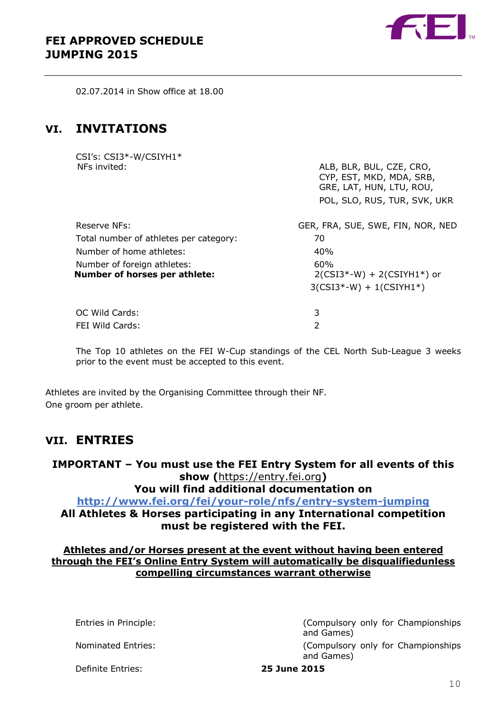

02.07.2014 in Show office at 18.00

# **VI. INVITATIONS**

CSI's: CSI3\*-W/CSIYH1\*

| NFs invited:                                                                             | ALB, BLR, BUL, CZE, CRO,<br>CYP, EST, MKD, MDA, SRB,<br>GRE, LAT, HUN, LTU, ROU,<br>POL, SLO, RUS, TUR, SVK, UKR |
|------------------------------------------------------------------------------------------|------------------------------------------------------------------------------------------------------------------|
| Reserve NFs:                                                                             | GER, FRA, SUE, SWE, FIN, NOR, NED                                                                                |
| Total number of athletes per category:                                                   | 70                                                                                                               |
| Number of home athletes:<br>Number of foreign athletes:<br>Number of horses per athlete: | 40%<br>60%<br>$2(CSI3*-W) + 2(CSIYH1*)$ or<br>$3(CSI3*-W) + 1(CSIYH1*)$                                          |
| OC Wild Cards:                                                                           | 3                                                                                                                |
| FEI Wild Cards:                                                                          | 2                                                                                                                |

The Top 10 athletes on the FEI W-Cup standings of the CEL North Sub-League 3 weeks prior to the event must be accepted to this event.

Athletes are invited by the Organising Committee through their NF. One groom per athlete.

# **VII. ENTRIES**

**IMPORTANT – You must use the FEI Entry System for all events of this show (**[https://entry.fei.org](https://entry.fei.org/)**) You will find additional documentation on [http://www.fei.org/fei/your-role/nfs/entry-system-j](http://www.fei.org/fei/your-role/nfs/entry-system-endurance)umping All Athletes & Horses participating in any International competition must be registered with the FEI.**

## **Athletes and/or Horses present at the event without having been entered through the FEI's Online Entry System will automatically be disqualifiedunless compelling circumstances warrant otherwise**

Entries in Principle: (Compulsory only for Championships and Games) Nominated Entries: (Compulsory only for Championships

and Games)

#### Definite Entries: **25 June 2015**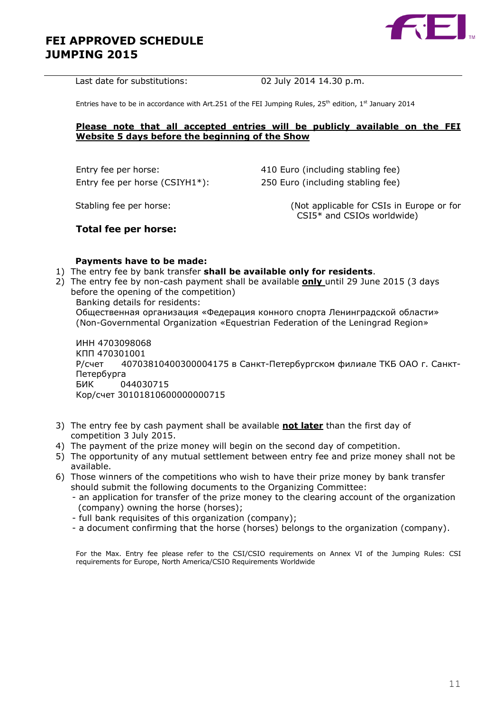

Last date for substitutions: 02 July 2014 14.30 p.m.

Entries have to be in accordance with Art.251 of the FEI Jumping Rules, 25<sup>th</sup> edition, 1<sup>st</sup> January 2014

#### **Please note that all accepted entries will be publicly available on the FEI Website 5 days before the beginning of the Show**

Entry fee per horse: 410 Euro (including stabling fee)

Entry fee per horse (CSIYH1\*): 250 Euro (including stabling fee)

Stabling fee per horse: (Not applicable for CSIs in Europe or for CSI5\* and CSIOs worldwide)

## **Total fee per horse:**

#### **Payments have to be made:**

- 1) The entry fee by bank transfer **shall be available only for residents**.
- 2) The entry fee by non-cash payment shall be available **only** until 29 June 2015 (3 days before the opening of the competition)
	- Banking details for residents:

Общественная организация «Федерация конного спорта Ленинградской области» (Non-Governmental Organization «Equestrian Federation of the Leningrad Region»

ИНН 4703098068 КПП 470301001 Р/счет 40703810400300004175 в Санкт-Петербургском филиале ТКБ ОАО г. Санкт-Петербурга БИК 044030715 Кор/счет 30101810600000000715

- 3) The entry fee by cash payment shall be available **not later** than the first day of competition 3 July 2015.
- 4) The payment of the prize money will begin on the second day of competition.
- 5) The opportunity of any mutual settlement between entry fee and prize money shall not be available.
- 6) Those winners of the competitions who wish to have their prize money by bank transfer should submit the following documents to the Organizing Committee:
	- an application for transfer of the prize money to the clearing account of the organization (company) owning the horse (horses);
	- full bank requisites of this organization (company);
	- a document confirming that the horse (horses) belongs to the organization (company).

For the Max. Entry fee please refer to the CSI/CSIO requirements on Annex VI of the Jumping Rules: CSI requirements for Europe, North America/CSIO Requirements Worldwide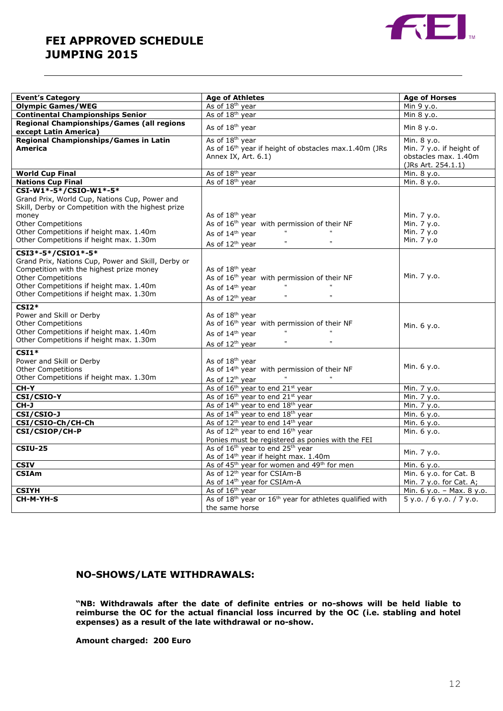

| <b>Event's Category</b>                                       | <b>Age of Athletes</b>                                                                                       | <b>Age of Horses</b>      |
|---------------------------------------------------------------|--------------------------------------------------------------------------------------------------------------|---------------------------|
| <b>Olympic Games/WEG</b>                                      | As of 18 <sup>th</sup> year                                                                                  | Min 9 y.o.                |
| <b>Continental Championships Senior</b>                       | As of 18 <sup>th</sup> year                                                                                  | Min 8 y.o.                |
| Regional Championships/Games (all regions                     |                                                                                                              |                           |
| except Latin America)                                         | As of 18 <sup>th</sup> year                                                                                  | Min 8 y.o.                |
| <b>Regional Championships/Games in Latin</b>                  | As of 18 <sup>th</sup> year                                                                                  | Min. 8 y.o.               |
| <b>America</b>                                                | As of 16 <sup>th</sup> year if height of obstacles max.1.40m (JRs                                            | Min. 7 y.o. if height of  |
|                                                               | Annex IX, Art. 6.1)                                                                                          | obstacles max. 1.40m      |
|                                                               |                                                                                                              | (JRs Art. 254.1.1)        |
| <b>World Cup Final</b>                                        | As of 18 <sup>th</sup> year                                                                                  | Min. 8 y.o.               |
| <b>Nations Cup Final</b>                                      | As of 18 <sup>th</sup> year                                                                                  | Min. 8 y.o.               |
| CSI-W1*-5*/CSIO-W1*-5*                                        |                                                                                                              |                           |
| Grand Prix, World Cup, Nations Cup, Power and                 |                                                                                                              |                           |
| Skill, Derby or Competition with the highest prize            |                                                                                                              |                           |
| money                                                         | As of 18 <sup>th</sup> year                                                                                  | Min. 7 y.o.               |
| Other Competitions                                            | As of 16 <sup>th</sup> year with permission of their NF                                                      | Min. 7 y.o.               |
| Other Competitions if height max. 1.40m                       | $\mathfrak{r}$<br>$\overline{\mathbf{u}}$<br>As of 14 <sup>th</sup> year                                     | Min. 7 y.o                |
| Other Competitions if height max. 1.30m                       | $\mathfrak{m}$<br>$\mathfrak{m}$<br>As of 12 <sup>th</sup> year                                              | Min. 7 y.o                |
| CSI3*-5*/CSI01*-5*                                            |                                                                                                              |                           |
| Grand Prix, Nations Cup, Power and Skill, Derby or            |                                                                                                              |                           |
| Competition with the highest prize money                      | As of 18 <sup>th</sup> year                                                                                  |                           |
| <b>Other Competitions</b>                                     | As of 16 <sup>th</sup> year with permission of their NF                                                      | Min. 7 y.o.               |
| Other Competitions if height max. 1.40m                       | $\mathbf{u}$<br>As of 14 <sup>th</sup> year                                                                  |                           |
| Other Competitions if height max. 1.30m                       | $\mathbf{t}$<br>$\mathfrak{r}$<br>As of 12 <sup>th</sup> year                                                |                           |
| $CSI2*$                                                       |                                                                                                              |                           |
| Power and Skill or Derby                                      | As of 18 <sup>th</sup> year                                                                                  |                           |
| <b>Other Competitions</b>                                     | As of 16 <sup>th</sup> year with permission of their NF                                                      |                           |
| Other Competitions if height max. 1.40m                       | $\mathfrak{m}$<br>As of 14 <sup>th</sup> year                                                                | Min. 6 y.o.               |
| Other Competitions if height max. 1.30m                       | $\mathbf{t}$<br>$\mathbf{u}$                                                                                 |                           |
|                                                               | As of 12 <sup>th</sup> year                                                                                  |                           |
| $CSI1*$                                                       |                                                                                                              |                           |
| Power and Skill or Derby                                      | As of 18 <sup>th</sup> year                                                                                  | Min. 6 y.o.               |
| Other Competitions<br>Other Competitions if height max. 1.30m | As of 14 <sup>th</sup> year with permission of their NF                                                      |                           |
|                                                               | As of 12 <sup>th</sup> year                                                                                  |                           |
| CH-Y                                                          | As of 16 <sup>th</sup> year to end 21 <sup>st</sup> year                                                     | Min. 7 y.o.               |
| CSI/CSIO-Y                                                    | As of 16 <sup>th</sup> year to end 21 <sup>st</sup> year                                                     | Min. 7 y.o.               |
| CH-J                                                          | As of 14 <sup>th</sup> year to end 18 <sup>th</sup> year                                                     | Min. 7 y.o.               |
| <b>CSI/CSI0-J</b>                                             | As of 14 <sup>th</sup> year to end 18 <sup>th</sup> year                                                     | Min. 6 y.o.               |
| CSI/CSIO-Ch/CH-Ch                                             | As of 12 <sup>th</sup> year to end 14 <sup>th</sup> year                                                     | Min. 6 y.o.               |
| CSI/CSIOP/CH-P                                                | As of 12 <sup>th</sup> year to end 16 <sup>th</sup> year                                                     | Min. 6 y.o.               |
| <b>CSIU-25</b>                                                | Ponies must be registered as ponies with the FEI<br>As of 16 <sup>th</sup> year to end 25 <sup>th</sup> year |                           |
|                                                               | As of 14 <sup>th</sup> year if height max. 1.40m                                                             | Min. 7 y.o.               |
| <b>CSIV</b>                                                   | As of 45 <sup>th</sup> year for women and 49 <sup>th</sup> for men                                           | Min. 6 y.o.               |
| <b>CSIAm</b>                                                  | As of 12 <sup>th</sup> year for CSIAm-B                                                                      | Min. 6 y.o. for Cat. B    |
|                                                               | As of 14 <sup>th</sup> year for CSIAm-A                                                                      | Min. 7 y.o. for Cat. A;   |
| <b>CSIYH</b>                                                  | As of 16 <sup>th</sup> year                                                                                  | Min. 6 y.o. - Max. 8 y.o. |
| CH-M-YH-S                                                     | As of 18 <sup>th</sup> year or 16 <sup>th</sup> year for athletes qualified with                             | 5 y.o. / 6 y.o. / 7 y.o.  |
|                                                               | the same horse                                                                                               |                           |
|                                                               |                                                                                                              |                           |

## **NO-SHOWS/LATE WITHDRAWALS:**

**"NB: Withdrawals after the date of definite entries or no-shows will be held liable to reimburse the OC for the actual financial loss incurred by the OC (i.e. stabling and hotel expenses) as a result of the late withdrawal or no-show.**

**Amount charged: 200 Euro**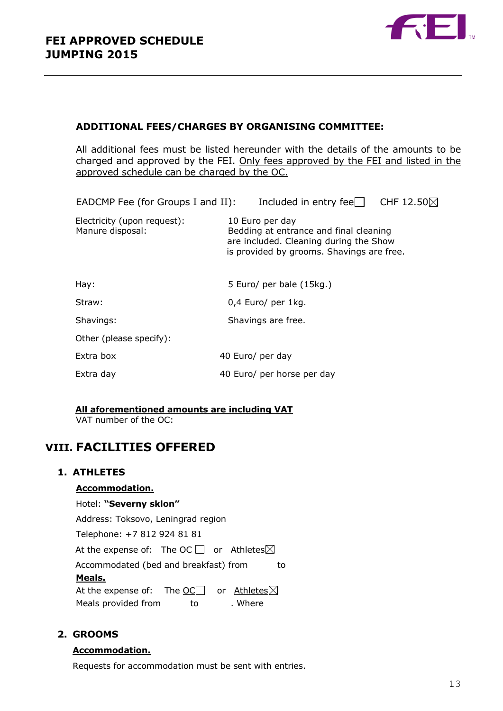

## **ADDITIONAL FEES/CHARGES BY ORGANISING COMMITTEE:**

All additional fees must be listed hereunder with the details of the amounts to be charged and approved by the FEI. Only fees approved by the FEI and listed in the approved schedule can be charged by the OC.

| EADCMP Fee (for Groups I and II):                                                                                                                | Included in entry fee $\Box$ CHF 12.50 $\boxtimes$ |                                                                                                                        |
|--------------------------------------------------------------------------------------------------------------------------------------------------|----------------------------------------------------|------------------------------------------------------------------------------------------------------------------------|
| 10 Euro per day<br>Bedding at entrance and final cleaning<br>are included. Cleaning during the Show<br>is provided by grooms. Shavings are free. |                                                    |                                                                                                                        |
|                                                                                                                                                  |                                                    |                                                                                                                        |
|                                                                                                                                                  |                                                    |                                                                                                                        |
|                                                                                                                                                  |                                                    |                                                                                                                        |
|                                                                                                                                                  |                                                    |                                                                                                                        |
|                                                                                                                                                  |                                                    |                                                                                                                        |
|                                                                                                                                                  |                                                    |                                                                                                                        |
|                                                                                                                                                  |                                                    | 5 Euro/ per bale (15kg.)<br>0,4 Euro/ per 1kg.<br>Shavings are free.<br>40 Euro/ per day<br>40 Euro/ per horse per day |

## **All aforementioned amounts are including VAT**

VAT number of the OC:

# **VIII. FACILITIES OFFERED**

#### **1. ATHLETES**

#### **Accommodation.**

#### Hotel: **"Severny sklon"**

Address: Toksovo, Leningrad region

Telephone: +7 812 924 81 81

At the expense of: The OC  $\Box$  or Athletes $\boxtimes$ 

Accommodated (bed and breakfast) from to

#### **Meals.**

At the expense of: The OC $\Box$  or Athletes $\boxtimes$ Meals provided from to to . Where

## **2. GROOMS**

#### **Accommodation.**

Requests for accommodation must be sent with entries.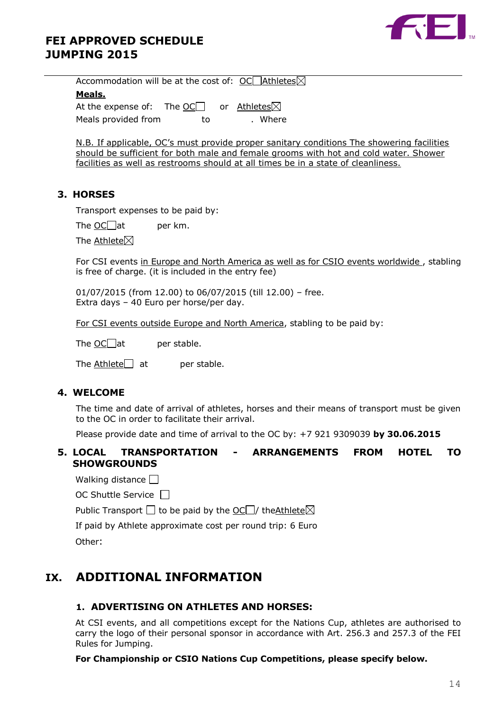



Accommodation will be at the cost of:  $OCD$ Athletes $\boxtimes$ **Meals.** At the expense of: The  $OC$  or Athletes $\boxtimes$ Meals provided from to to . Where

N.B. If applicable, OC's must provide proper sanitary conditions The showering facilities should be sufficient for both male and female grooms with hot and cold water. Shower facilities as well as restrooms should at all times be in a state of cleanliness.

#### **3. HORSES**

Transport expenses to be paid by:

The  $OC$  at per km.

The Athlete $\boxtimes$ 

For CSI events in Europe and North America as well as for CSIO events worldwide, stabling is free of charge. (it is included in the entry fee)

01/07/2015 (from 12.00) to 06/07/2015 (till 12.00) – free. Extra days – 40 Euro per horse/per day.

For CSI events outside Europe and North America, stabling to be paid by:

The  $OC$  at per stable.

The Athlete $\Box$  at per stable.

#### **4. WELCOME**

The time and date of arrival of athletes, horses and their means of transport must be given to the OC in order to facilitate their arrival.

Please provide date and time of arrival to the OC by: +7 921 9309039 **by 30.06.2015**

## **5. LOCAL TRANSPORTATION - ARRANGEMENTS FROM HOTEL TO SHOWGROUNDS**

Walking distance  $\square$ 

OC Shuttle Service

Public Transport  $\Box$  to be paid by the  $\underline{\textrm{OC}}$  the Athlete  $\boxtimes$ 

If paid by Athlete approximate cost per round trip: 6 Euro

Other:

# **IX. ADDITIONAL INFORMATION**

#### **1. ADVERTISING ON ATHLETES AND HORSES:**

At CSI events, and all competitions except for the Nations Cup, athletes are authorised to carry the logo of their personal sponsor in accordance with Art. 256.3 and 257.3 of the FEI Rules for Jumping.

#### **For Championship or CSIO Nations Cup Competitions, please specify below.**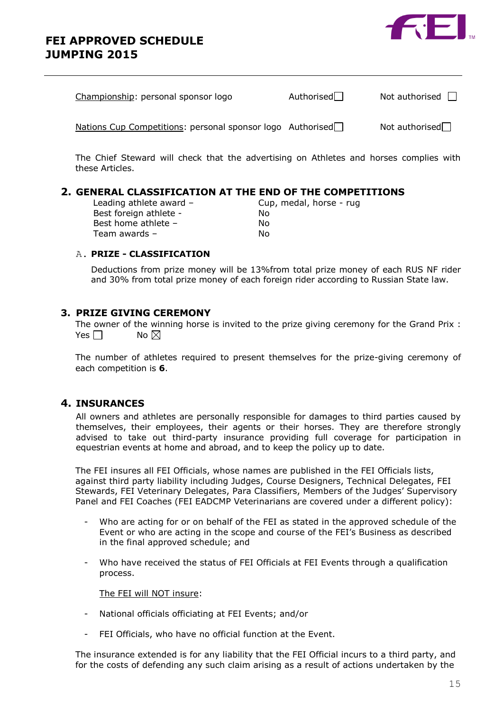



| Championship: personal sponsor logo                        | Authorised $\Box$ | Not authorised $\Box$ |
|------------------------------------------------------------|-------------------|-----------------------|
| Nations Cup Competitions: personal sponsor logo Authorised |                   | Not authorised $\Box$ |

The Chief Steward will check that the advertising on Athletes and horses complies with these Articles.

## **2. GENERAL CLASSIFICATION AT THE END OF THE COMPETITIONS**

| Cup, medal, horse - rug |
|-------------------------|
| No                      |
| Nο                      |
| N٥                      |
|                         |

## A. **PRIZE - CLASSIFICATION**

Deductions from prize money will be 13%from total prize money of each RUS NF rider and 30% from total prize money of each foreign rider according to Russian State law.

## **3. PRIZE GIVING CEREMONY**

The owner of the winning horse is invited to the prize giving ceremony for the Grand Prix : Yes  $\neg$  No  $\neg$ 

The number of athletes required to present themselves for the prize-giving ceremony of each competition is **6**.

## **4. INSURANCES**

All owners and athletes are personally responsible for damages to third parties caused by themselves, their employees, their agents or their horses. They are therefore strongly advised to take out third-party insurance providing full coverage for participation in equestrian events at home and abroad, and to keep the policy up to date.

The FEI insures all FEI Officials, whose names are published in the FEI Officials lists, against third party liability including Judges, Course Designers, Technical Delegates, FEI Stewards, FEI Veterinary Delegates, Para Classifiers, Members of the Judges' Supervisory Panel and FEI Coaches (FEI EADCMP Veterinarians are covered under a different policy):

- Who are acting for or on behalf of the FEI as stated in the approved schedule of the Event or who are acting in the scope and course of the FEI's Business as described in the final approved schedule; and
- Who have received the status of FEI Officials at FEI Events through a qualification process.

## The FEI will NOT insure:

- National officials officiating at FEI Events; and/or
- FEI Officials, who have no official function at the Event.

The insurance extended is for any liability that the FEI Official incurs to a third party, and for the costs of defending any such claim arising as a result of actions undertaken by the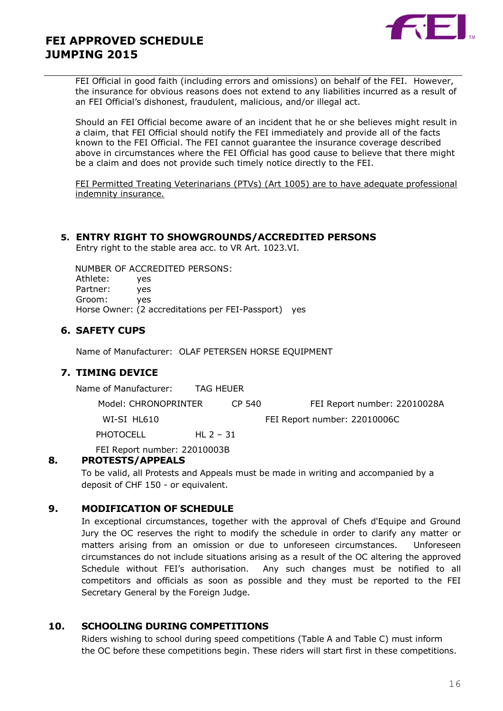

FEI Official in good faith (including errors and omissions) on behalf of the FEI. However, the insurance for obvious reasons does not extend to any liabilities incurred as a result of an FEI Official's dishonest, fraudulent, malicious, and/or illegal act.

Should an FEI Official become aware of an incident that he or she believes might result in a claim, that FEI Official should notify the FEI immediately and provide all of the facts known to the FEI Official. The FEI cannot guarantee the insurance coverage described above in circumstances where the FEI Official has good cause to believe that there might be a claim and does not provide such timely notice directly to the FEI.

FEI Permitted Treating Veterinarians (PTVs) (Art 1005) are to have adequate professional indemnity insurance.

#### **5. ENTRY RIGHT TO SHOWGROUNDS/ACCREDITED PERSONS**

Entry right to the stable area acc. to VR Art. 1023.VI.

 NUMBER OF ACCREDITED PERSONS: Athlete: yes Partner: yes Groom: yes Horse Owner: (2 accreditations per FEI-Passport) yes

## **6. SAFETY CUPS**

Name of Manufacturer: OLAF PETERSEN HORSE EQUIPMENT

#### **7. TIMING DEVICE**

Name of Manufacturer: TAG HEUER

Model: CHRONOPRINTER CP 540 FEI Report number: 22010028A

PHOTOCELL HL 2 - 31

WI-SI HL610 **FEI Report number: 22010006C** 

FEI Report number: 22010003B

#### **8. PROTESTS/APPEALS**

To be valid, all Protests and Appeals must be made in writing and accompanied by a deposit of CHF 150 - or equivalent.

#### **9. MODIFICATION OF SCHEDULE**

In exceptional circumstances, together with the approval of Chefs d'Equipe and Ground Jury the OC reserves the right to modify the schedule in order to clarify any matter or matters arising from an omission or due to unforeseen circumstances. Unforeseen circumstances do not include situations arising as a result of the OC altering the approved Schedule without FEI's authorisation. Any such changes must be notified to all competitors and officials as soon as possible and they must be reported to the FEI Secretary General by the Foreign Judge.

### **10. SCHOOLING DURING COMPETITIONS**

Riders wishing to school during speed competitions (Table A and Table C) must inform the OC before these competitions begin. These riders will start first in these competitions.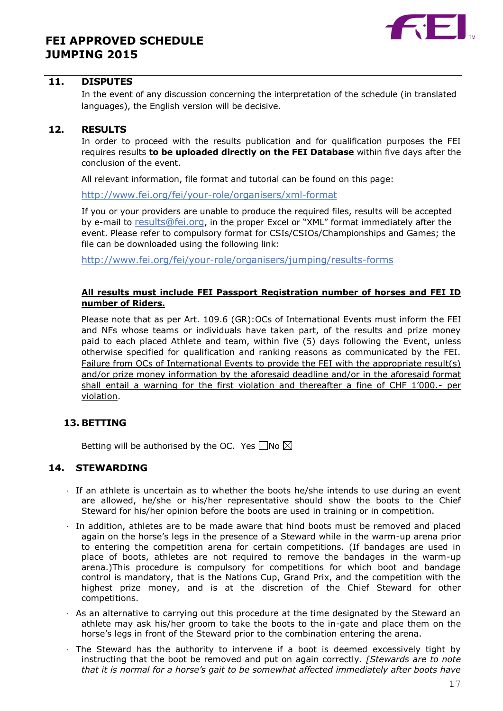

### **11. DISPUTES**

In the event of any discussion concerning the interpretation of the schedule (in translated languages), the English version will be decisive.

#### **12. RESULTS**

In order to proceed with the results publication and for qualification purposes the FEI requires results **to be uploaded directly on the FEI Database** within five days after the conclusion of the event.

All relevant information, file format and tutorial can be found on this page:

<http://www.fei.org/fei/your-role/organisers/xml-format>

If you or your providers are unable to produce the required files, results will be accepted by e-mail to [results@fei.org](mailto:results@fei.org), in the proper Excel or "XML" format immediately after the event. Please refer to compulsory format for CSIs/CSIOs/Championships and Games; the file can be downloaded using the following link:

<http://www.fei.org/fei/your-role/organisers/jumping/results-forms>

#### **All results must include FEI Passport Registration number of horses and FEI ID number of Riders.**

Please note that as per Art. 109.6 (GR):OCs of International Events must inform the FEI and NFs whose teams or individuals have taken part, of the results and prize money paid to each placed Athlete and team, within five (5) days following the Event, unless otherwise specified for qualification and ranking reasons as communicated by the FEI. Failure from OCs of International Events to provide the FEI with the appropriate result(s) and/or prize money information by the aforesaid deadline and/or in the aforesaid format shall entail a warning for the first violation and thereafter a fine of CHF 1'000.- per violation.

## **13. BETTING**

Betting will be authorised by the OC. Yes  $\Box$ No  $\boxtimes$ 

#### **14. STEWARDING**

- · If an athlete is uncertain as to whether the boots he/she intends to use during an event are allowed, he/she or his/her representative should show the boots to the Chief Steward for his/her opinion before the boots are used in training or in competition.
- · In addition, athletes are to be made aware that hind boots must be removed and placed again on the horse's legs in the presence of a Steward while in the warm-up arena prior to entering the competition arena for certain competitions. (If bandages are used in place of boots, athletes are not required to remove the bandages in the warm-up arena.)This procedure is compulsory for competitions for which boot and bandage control is mandatory, that is the Nations Cup, Grand Prix, and the competition with the highest prize money, and is at the discretion of the Chief Steward for other competitions.
- · As an alternative to carrying out this procedure at the time designated by the Steward an athlete may ask his/her groom to take the boots to the in-gate and place them on the horse's legs in front of the Steward prior to the combination entering the arena.
- · The Steward has the authority to intervene if a boot is deemed excessively tight by instructing that the boot be removed and put on again correctly. *[Stewards are to note that it is normal for a horse's gait to be somewhat affected immediately after boots have*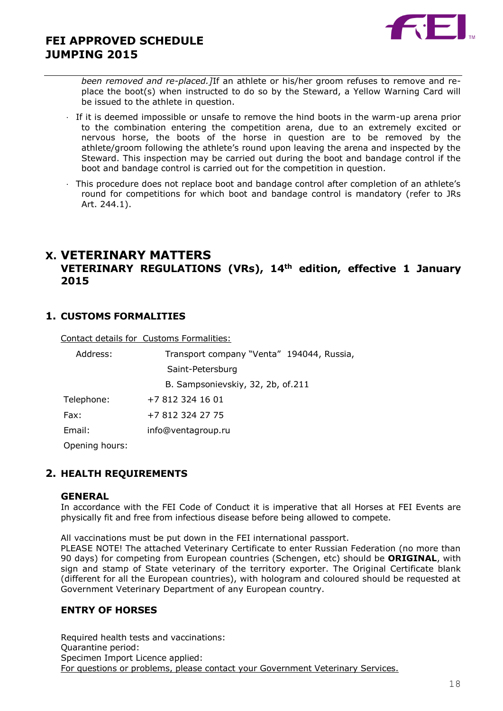

*been removed and re-placed.]*If an athlete or his/her groom refuses to remove and replace the boot(s) when instructed to do so by the Steward, a Yellow Warning Card will be issued to the athlete in question.

- · If it is deemed impossible or unsafe to remove the hind boots in the warm-up arena prior to the combination entering the competition arena, due to an extremely excited or nervous horse, the boots of the horse in question are to be removed by the athlete/groom following the athlete's round upon leaving the arena and inspected by the Steward. This inspection may be carried out during the boot and bandage control if the boot and bandage control is carried out for the competition in question.
- · This procedure does not replace boot and bandage control after completion of an athlete's round for competitions for which boot and bandage control is mandatory (refer to JRs Art. 244.1).

## **X. VETERINARY MATTERS**

## **VETERINARY REGULATIONS (VRs), 14th edition, effective 1 January 2015**

## **1. CUSTOMS FORMALITIES**

Contact details for Customs Formalities:

| Address:       | Transport company "Venta" 194044, Russia, |
|----------------|-------------------------------------------|
|                | Saint-Petersburg                          |
|                | B. Sampsonievskiy, 32, 2b, of.211         |
| Telephone:     | +7 812 324 16 01                          |
| Fax:           | +7 812 324 27 75                          |
| Email:         | info@ventagroup.ru                        |
| Opening hours: |                                           |

## **2. HEALTH REQUIREMENTS**

#### **GENERAL**

In accordance with the FEI Code of Conduct it is imperative that all Horses at FEI Events are physically fit and free from infectious disease before being allowed to compete.

All vaccinations must be put down in the FEI international passport.

PLEASE NOTE! The attached Veterinary Certificate to enter Russian Federation (no more than 90 days) for competing from European countries (Schengen, etc) should be **ORIGINAL**, with sign and stamp of State veterinary of the territory exporter. The Original Certificate blank (different for all the European countries), with hologram and coloured should be requested at Government Veterinary Department of any European country.

#### **ENTRY OF HORSES**

Required health tests and vaccinations: Quarantine period: Specimen Import Licence applied: For questions or problems, please contact your Government Veterinary Services.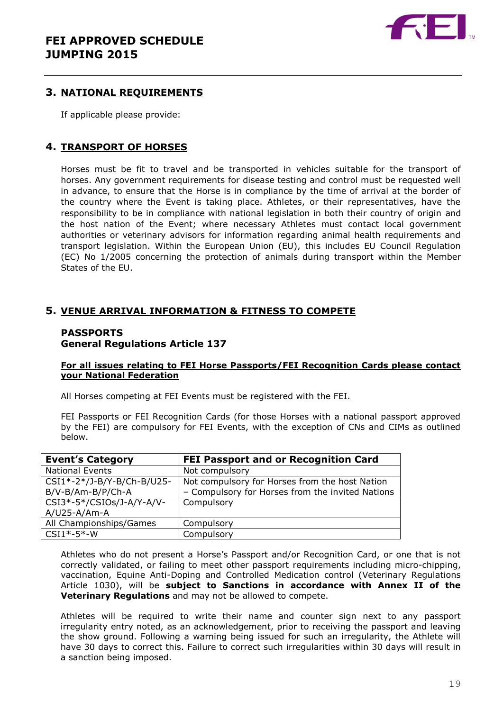

#### **3. NATIONAL REQUIREMENTS**

If applicable please provide:

## **4. TRANSPORT OF HORSES**

Horses must be fit to travel and be transported in vehicles suitable for the transport of horses. Any government requirements for disease testing and control must be requested well in advance, to ensure that the Horse is in compliance by the time of arrival at the border of the country where the Event is taking place. Athletes, or their representatives, have the responsibility to be in compliance with national legislation in both their country of origin and the host nation of the Event; where necessary Athletes must contact local government authorities or veterinary advisors for information regarding animal health requirements and transport legislation. Within the European Union (EU), this includes EU Council Regulation (EC) No 1/2005 concerning the protection of animals during transport within the Member States of the EU.

## **5. VENUE ARRIVAL INFORMATION & FITNESS TO COMPETE**

## **PASSPORTS General Regulations Article 137**

#### **For all issues relating to FEI Horse Passports/FEI Recognition Cards please contact your National Federation**

All Horses competing at FEI Events must be registered with the FEI.

FEI Passports or FEI Recognition Cards (for those Horses with a national passport approved by the FEI) are compulsory for FEI Events, with the exception of CNs and CIMs as outlined below.

| <b>Event's Category</b>    | <b>FEI Passport and or Recognition Card</b>      |
|----------------------------|--------------------------------------------------|
| <b>National Events</b>     | Not compulsory                                   |
| CSI1*-2*/J-B/Y-B/Ch-B/U25- | Not compulsory for Horses from the host Nation   |
| B/V-B/Am-B/P/Ch-A          | - Compulsory for Horses from the invited Nations |
| CSI3*-5*/CSIOs/J-A/Y-A/V-  | Compulsory                                       |
| $A/U25 - A/Am-A$           |                                                  |
| All Championships/Games    | Compulsory                                       |
| $CSI1*-5*-W$               | Compulsory                                       |

Athletes who do not present a Horse's Passport and/or Recognition Card, or one that is not correctly validated, or failing to meet other passport requirements including micro-chipping, vaccination, Equine Anti-Doping and Controlled Medication control (Veterinary Regulations Article 1030), will be **subject to Sanctions in accordance with Annex II of the Veterinary Regulations** and may not be allowed to compete.

Athletes will be required to write their name and counter sign next to any passport irregularity entry noted, as an acknowledgement, prior to receiving the passport and leaving the show ground. Following a warning being issued for such an irregularity, the Athlete will have 30 days to correct this. Failure to correct such irregularities within 30 days will result in a sanction being imposed.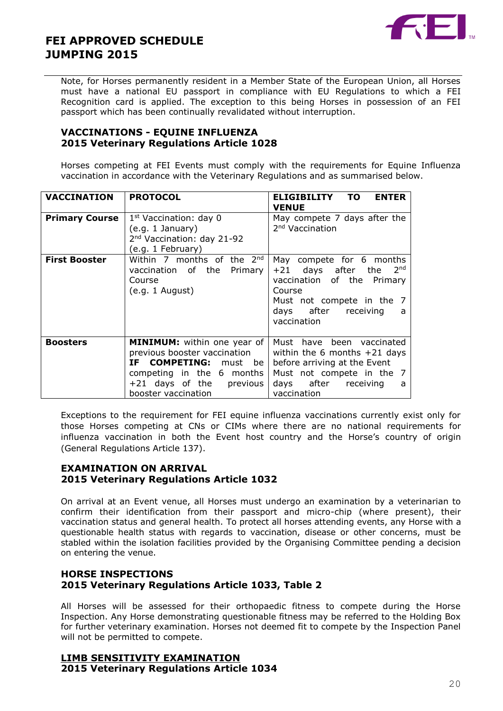

Note, for Horses permanently resident in a Member State of the European Union, all Horses must have a national EU passport in compliance with EU Regulations to which a FEI Recognition card is applied. The exception to this being Horses in possession of an FEI passport which has been continually revalidated without interruption.

#### **VACCINATIONS - EQUINE INFLUENZA 2015 Veterinary Regulations Article 1028**

Horses competing at FEI Events must comply with the requirements for Equine Influenza vaccination in accordance with the Veterinary Regulations and as summarised below.

| <b>VACCINATION</b>    | <b>PROTOCOL</b>                                                                                                                                                             | <b>ENTER</b><br><b>ELIGIBILITY</b><br>TO.<br><b>VENUE</b>                                                                                                                            |
|-----------------------|-----------------------------------------------------------------------------------------------------------------------------------------------------------------------------|--------------------------------------------------------------------------------------------------------------------------------------------------------------------------------------|
| <b>Primary Course</b> | 1 <sup>st</sup> Vaccination: day 0<br>(e.g. 1 January)<br>2 <sup>nd</sup> Vaccination: day 21-92<br>(e.g. 1 February)                                                       | May compete 7 days after the<br>2 <sup>nd</sup> Vaccination                                                                                                                          |
| <b>First Booster</b>  | Within 7 months of the 2nd<br>vaccination of the Primary<br>Course<br>(e.g. 1 August)                                                                                       | compete for 6 months<br>May<br>$+21$ days after the 2 <sup>nd</sup><br>vaccination of the Primary<br>Course<br>Must not compete in the 7<br>days after receiving<br>a<br>vaccination |
| <b>Boosters</b>       | <b>MINIMUM:</b> within one year of<br>previous booster vaccination<br>IF COMPETING: must be<br>competing in the 6 months<br>+21 days of the previous<br>booster vaccination | Must have been vaccinated<br>within the 6 months $+21$ days<br>before arriving at the Event<br>Must not compete in the 7<br>days after receiving<br>a<br>vaccination                 |

Exceptions to the requirement for FEI equine influenza vaccinations currently exist only for those Horses competing at CNs or CIMs where there are no national requirements for influenza vaccination in both the Event host country and the Horse's country of origin (General Regulations Article 137).

## **EXAMINATION ON ARRIVAL 2015 Veterinary Regulations Article 1032**

On arrival at an Event venue, all Horses must undergo an examination by a veterinarian to confirm their identification from their passport and micro-chip (where present), their vaccination status and general health. To protect all horses attending events, any Horse with a questionable health status with regards to vaccination, disease or other concerns, must be stabled within the isolation facilities provided by the Organising Committee pending a decision on entering the venue.

## **HORSE INSPECTIONS 2015 Veterinary Regulations Article 1033, Table 2**

All Horses will be assessed for their orthopaedic fitness to compete during the Horse Inspection. Any Horse demonstrating questionable fitness may be referred to the Holding Box for further veterinary examination. Horses not deemed fit to compete by the Inspection Panel will not be permitted to compete.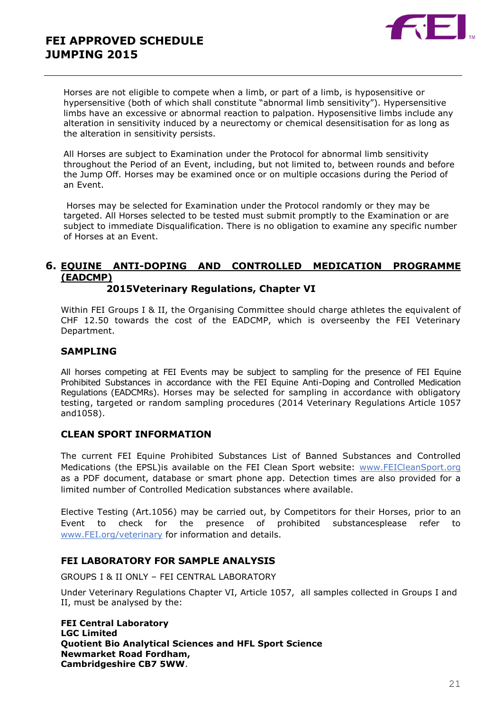

Horses are not eligible to compete when a limb, or part of a limb, is hyposensitive or hypersensitive (both of which shall constitute "abnormal limb sensitivity"). Hypersensitive limbs have an excessive or abnormal reaction to palpation. Hyposensitive limbs include any alteration in sensitivity induced by a neurectomy or chemical desensitisation for as long as the alteration in sensitivity persists.

All Horses are subject to Examination under the Protocol for abnormal limb sensitivity throughout the Period of an Event, including, but not limited to, between rounds and before the Jump Off. Horses may be examined once or on multiple occasions during the Period of an Event.

Horses may be selected for Examination under the Protocol randomly or they may be targeted. All Horses selected to be tested must submit promptly to the Examination or are subject to immediate Disqualification. There is no obligation to examine any specific number of Horses at an Event.

## **6. EQUINE ANTI-DOPING AND CONTROLLED MEDICATION PROGRAMME (EADCMP)**

#### **2015Veterinary Regulations, Chapter VI**

Within FEI Groups I & II, the Organising Committee should charge athletes the equivalent of CHF 12.50 towards the cost of the EADCMP, which is overseenby the FEI Veterinary Department.

#### **SAMPLING**

All horses competing at FEI Events may be subject to sampling for the presence of FEI Equine Prohibited Substances in accordance with the FEI Equine Anti-Doping and Controlled Medication Regulations (EADCMRs). Horses may be selected for sampling in accordance with obligatory testing, targeted or random sampling procedures (2014 Veterinary Regulations Article 1057 and1058).

#### **CLEAN SPORT INFORMATION**

The current FEI Equine Prohibited Substances List of Banned Substances and Controlled Medications (the EPSL) is available on the FEI Clean Sport website: [www.FEICleanSport.org](http://www.feicleansport.org/) as a PDF document, database or smart phone app. Detection times are also provided for a limited number of Controlled Medication substances where available.

Elective Testing (Art.1056) may be carried out, by Competitors for their Horses, prior to an Event to check for the presence of prohibited substancesplease refer to [www.FEI.org/veterinary](http://www.fei.org/veterinary) for information and details.

#### **FEI LABORATORY FOR SAMPLE ANALYSIS**

GROUPS I & II ONLY – FEI CENTRAL LABORATORY

Under Veterinary Regulations Chapter VI, Article 1057, all samples collected in Groups I and II, must be analysed by the:

**FEI Central Laboratory LGC Limited Quotient Bio Analytical Sciences and HFL Sport Science Newmarket Road Fordham, Cambridgeshire CB7 5WW**.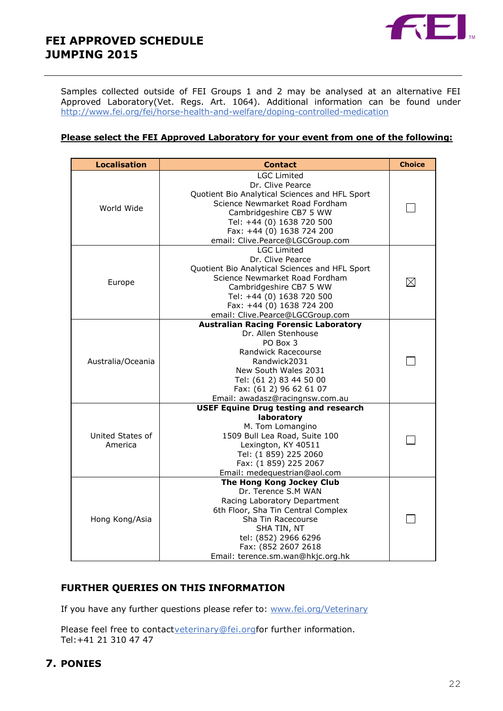

Samples collected outside of FEI Groups 1 and 2 may be analysed at an alternative FEI Approved Laboratory(Vet. Regs. Art. 1064). Additional information can be found under <http://www.fei.org/fei/horse-health-and-welfare/doping-controlled-medication>

#### **Please select the FEI Approved Laboratory for your event from one of the following:**

| <b>Localisation</b>         | <b>Contact</b>                                                                                                                                                                                                                                      | <b>Choice</b> |
|-----------------------------|-----------------------------------------------------------------------------------------------------------------------------------------------------------------------------------------------------------------------------------------------------|---------------|
| World Wide                  | <b>LGC Limited</b><br>Dr. Clive Pearce<br>Quotient Bio Analytical Sciences and HFL Sport<br>Science Newmarket Road Fordham<br>Cambridgeshire CB7 5 WW<br>Tel: +44 (0) 1638 720 500<br>Fax: +44 (0) 1638 724 200<br>email: Clive.Pearce@LGCGroup.com |               |
| Europe                      | <b>LGC Limited</b><br>Dr. Clive Pearce<br>Quotient Bio Analytical Sciences and HFL Sport<br>Science Newmarket Road Fordham<br>Cambridgeshire CB7 5 WW<br>Tel: +44 (0) 1638 720 500<br>Fax: +44 (0) 1638 724 200<br>email: Clive.Pearce@LGCGroup.com | $\boxtimes$   |
| Australia/Oceania           | <b>Australian Racing Forensic Laboratory</b><br>Dr. Allen Stenhouse<br>PO Box 3<br>Randwick Racecourse<br>Randwick2031<br>New South Wales 2031<br>Tel: (61 2) 83 44 50 00<br>Fax: (61 2) 96 62 61 07<br>Email: awadasz@racingnsw.com.au             |               |
| United States of<br>America | <b>USEF Equine Drug testing and research</b><br>laboratory<br>M. Tom Lomangino<br>1509 Bull Lea Road, Suite 100<br>Lexington, KY 40511<br>Tel: (1 859) 225 2060<br>Fax: (1 859) 225 2067<br>Email: medequestrian@aol.com                            |               |
| Hong Kong/Asia              | The Hong Kong Jockey Club<br>Dr. Terence S.M WAN<br>Racing Laboratory Department<br>6th Floor, Sha Tin Central Complex<br>Sha Tin Racecourse<br>SHA TIN, NT<br>tel: (852) 2966 6296<br>Fax: (852 2607 2618<br>Email: terence.sm.wan@hkjc.org.hk     |               |

## **FURTHER QUERIES ON THIS INFORMATION**

If you have any further questions please refer to: [www.fei.org/Veterinary](../../mzo/AppData/Local/Microsoft/VEU/AppData/Local/Microsoft/Windows/Temporary%20Internet%20Files/Content.Outlook/1W63BF58/www.fei.org/Veterinary)

Please feel free to contactveterinary@fei.orgfor further information. Tel:+41 21 310 47 47

## **7. PONIES**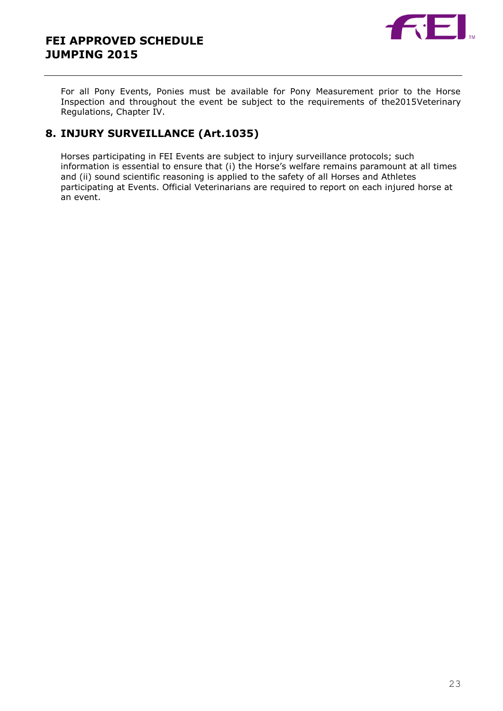



For all Pony Events, Ponies must be available for Pony Measurement prior to the Horse Inspection and throughout the event be subject to the requirements of the2015Veterinary Regulations, Chapter IV.

## **8. INJURY SURVEILLANCE (Art.1035)**

Horses participating in FEI Events are subject to injury surveillance protocols; such information is essential to ensure that (i) the Horse's welfare remains paramount at all times and (ii) sound scientific reasoning is applied to the safety of all Horses and Athletes participating at Events. Official Veterinarians are required to report on each injured horse at an event.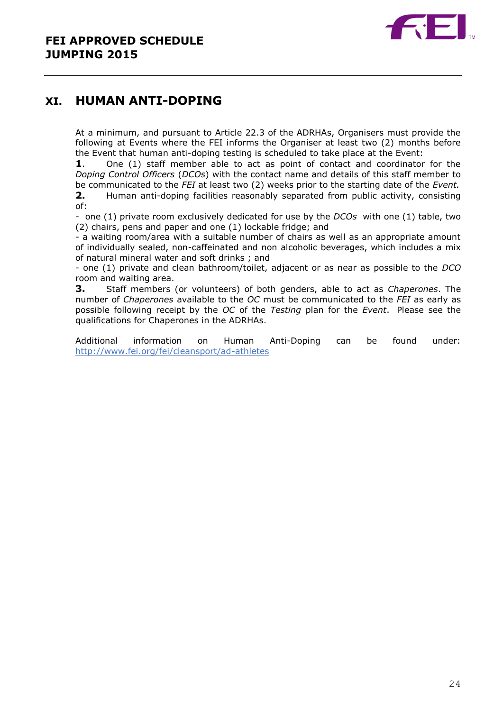

# **XI. HUMAN ANTI-DOPING**

At a minimum, and pursuant to Article 22.3 of the ADRHAs, Organisers must provide the following at Events where the FEI informs the Organiser at least two (2) months before the Event that human anti-doping testing is scheduled to take place at the Event:

**1**. One (1) staff member able to act as point of contact and coordinator for the *Doping Control Officers* (*DCOs*) with the contact name and details of this staff member to be communicated to the *FEI* at least two (2) weeks prior to the starting date of the *Event.*

**2.** Human anti-doping facilities reasonably separated from public activity, consisting of:

- one (1) private room exclusively dedicated for use by the *DCOs* with one (1) table, two (2) chairs, pens and paper and one (1) lockable fridge; and

- a waiting room/area with a suitable number of chairs as well as an appropriate amount of individually sealed, non-caffeinated and non alcoholic beverages, which includes a mix of natural mineral water and soft drinks ; and

- one (1) private and clean bathroom/toilet, adjacent or as near as possible to the *DCO* room and waiting area.

**3.** Staff members (or volunteers) of both genders, able to act as *Chaperones*. The number of *Chaperones* available to the *OC* must be communicated to the *FEI* as early as possible following receipt by the *OC* of the *Testing* plan for the *Event*. Please see the qualifications for Chaperones in the ADRHAs.

Additional information on Human Anti-Doping can be found under: <http://www.fei.org/fei/cleansport/ad-athletes>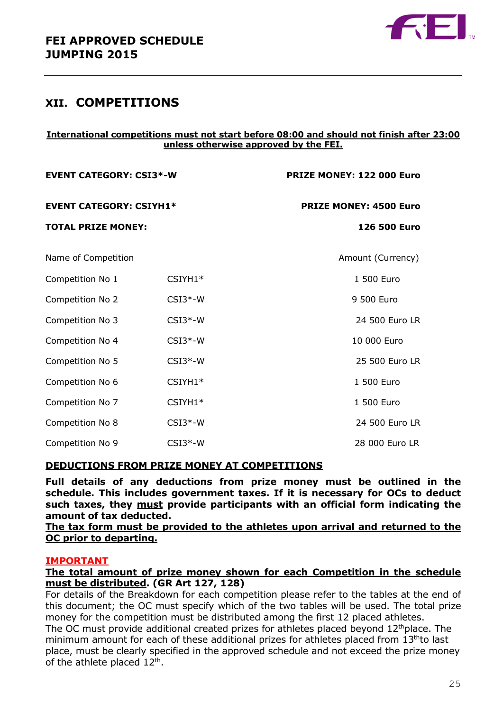

## **XII. COMPETITIONS**

#### **International competitions must not start before 08:00 and should not finish after 23:00 unless otherwise approved by the FEI.**

| <b>EVENT CATEGORY: CSI3*-W</b><br><b>EVENT CATEGORY: CSIYH1*</b> |           | PRIZE MONEY: 122 000 Euro     |  |
|------------------------------------------------------------------|-----------|-------------------------------|--|
|                                                                  |           | <b>PRIZE MONEY: 4500 Euro</b> |  |
| <b>TOTAL PRIZE MONEY:</b>                                        |           | 126 500 Euro                  |  |
| Name of Competition                                              |           | Amount (Currency)             |  |
| Competition No 1                                                 | $CSIYH1*$ | 1 500 Euro                    |  |
| Competition No 2                                                 | $CSI3*-W$ | 9 500 Euro                    |  |
| Competition No 3                                                 | $CSI3*-W$ | 24 500 Euro LR                |  |
| Competition No 4                                                 | $CSI3*-W$ | 10 000 Euro                   |  |
| Competition No 5                                                 | $CSI3*-W$ | 25 500 Euro LR                |  |
| Competition No 6                                                 | CSIYH1*   | 1 500 Euro                    |  |
| Competition No 7                                                 | CSIYH1*   | 1 500 Euro                    |  |
| Competition No 8                                                 | $CSI3*-W$ | 24 500 Euro LR                |  |
| Competition No 9                                                 | $CSI3*-W$ | 28 000 Euro LR                |  |

## **DEDUCTIONS FROM PRIZE MONEY AT COMPETITIONS**

**Full details of any deductions from prize money must be outlined in the schedule. This includes government taxes. If it is necessary for OCs to deduct such taxes, they must provide participants with an official form indicating the amount of tax deducted.** 

#### **The tax form must be provided to the athletes upon arrival and returned to the OC prior to departing.**

#### **IMPORTANT**

#### **The total amount of prize money shown for each Competition in the schedule must be distributed. (GR Art 127, 128)**

For details of the Breakdown for each competition please refer to the tables at the end of this document; the OC must specify which of the two tables will be used. The total prize money for the competition must be distributed among the first 12 placed athletes. The OC must provide additional created prizes for athletes placed beyond  $12<sup>th</sup>$ place. The minimum amount for each of these additional prizes for athletes placed from 13<sup>th</sup>to last place, must be clearly specified in the approved schedule and not exceed the prize money of the athlete placed  $12<sup>th</sup>$ .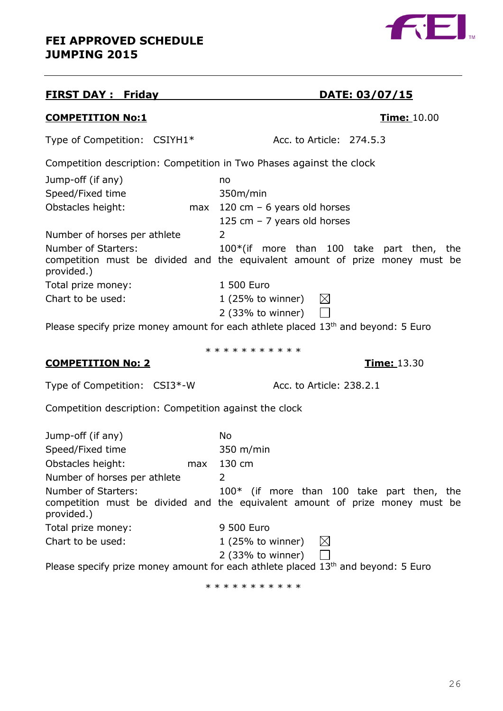## **FIRST DAY : Friday DATE: 03/07/15**

## **COMPETITION No:1 Time:** 10.00

Type of Competition: CSIYH1\* Acc. to Article: 274.5.3

Competition description: Competition in Two Phases against the clock

| Jump-off (if any)                 | no                                                                                                                          |
|-----------------------------------|-----------------------------------------------------------------------------------------------------------------------------|
| Speed/Fixed time                  | 350m/min                                                                                                                    |
| Obstacles height:<br>max          | 120 cm $-6$ years old horses                                                                                                |
|                                   | 125 cm $-$ 7 years old horses                                                                                               |
| Number of horses per athlete      | $\mathbf{2}^{\mathsf{I}}$                                                                                                   |
| Number of Starters:<br>provided.) | $100*(if more than 100 take part then, the$<br>competition must be divided and the equivalent amount of prize money must be |
| Total prize money:                | 1 500 Euro                                                                                                                  |
| Chart to be used:                 | $1$ (25% to winner)<br>$\bowtie$                                                                                            |
|                                   | 2 (33% to winner)                                                                                                           |

Please specify prize money amount for each athlete placed 13<sup>th</sup> and beyond: 5 Euro

\* \* \* \* \* \* \* \* \* \* \*

## **COMPETITION No: 2 Time:** 13.30

Type of Competition: CSI3\*-W Acc. to Article: 238.2.1

Competition description: Competition against the clock

| Jump-off (if any)            | No.                                                                               |
|------------------------------|-----------------------------------------------------------------------------------|
| Speed/Fixed time             | $350 \; \text{m/min}$                                                             |
| Obstacles height:<br>max     | 130 cm                                                                            |
| Number of horses per athlete | 2                                                                                 |
| Number of Starters:          | 100* (if more than 100 take part then, the                                        |
| provided.)                   | competition must be divided and the equivalent amount of prize money must be      |
| Total prize money:           | 9 500 Euro                                                                        |
| Chart to be used:            | $\bowtie$<br>$1$ (25% to winner)                                                  |
|                              | $2$ (33% to winner)                                                               |
|                              | Dlease specify prize money amount for each athlete placed 13th and beyond: 5 Furo |

Please specify prize money amount for each athlete placed  $13<sup>th</sup>$  and beyond: 5 Euro

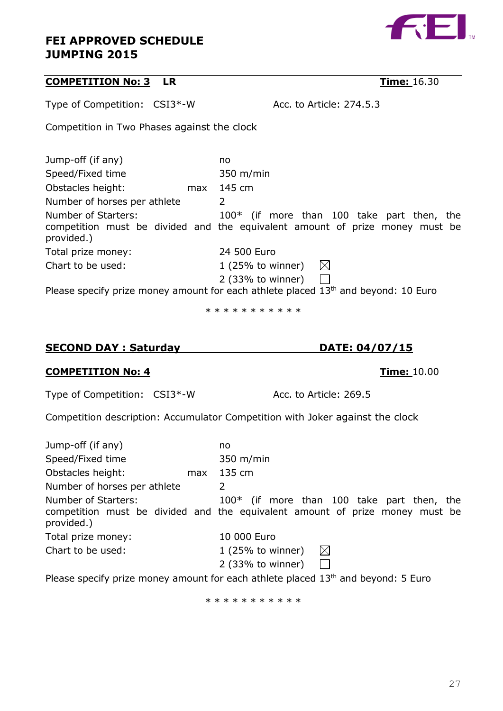## **COMPETITION No: 3 LR Time:** 16.30

Jump-off (if any) no Speed/Fixed time 350 m/min Obstacles height: max 145 cm Number of horses per athlete 2 Number of Starters: 100\* (if more than 100 take part then, the competition must be divided and the equivalent amount of prize money must be provided.) Total prize money: 24 500 Euro Chart to be used: 1 (25% to winner)  $\boxtimes$ 2 (33% to winner)  $\Box$ 

Please specify prize money amount for each athlete placed 13<sup>th</sup> and beyond: 10 Euro

\* \* \* \* \* \* \* \* \* \*

## **COMPETITION No: 4 Time:** 10.00

Type of Competition: CSI3<sup>\*</sup>-W Acc. to Article: 269.5

Competition description: Accumulator Competition with Joker against the clock

| Jump-off (if any)                 | no                                                                                                                         |
|-----------------------------------|----------------------------------------------------------------------------------------------------------------------------|
| Speed/Fixed time                  | $350 \; \text{m/min}$                                                                                                      |
| Obstacles height:<br>max          | 135 cm                                                                                                                     |
| Number of horses per athlete      | 2                                                                                                                          |
| Number of Starters:<br>provided.) | 100* (if more than 100 take part then, the<br>competition must be divided and the equivalent amount of prize money must be |
| Total prize money:                | 10 000 Euro                                                                                                                |
| Chart to be used:                 | $\boxtimes$<br>$1$ (25% to winner)                                                                                         |
|                                   | $2$ (33% to winner)<br>$\mathbf{I}$                                                                                        |
|                                   | Disses an eiler miller menner an ermannt fan earde atletete mis eard. 19th and become de E.E.                              |

Please specify prize money amount for each athlete placed  $13<sup>th</sup>$  and beyond: 5 Euro

\* \* \* \* \* \* \* \* \* \*



**SECOND DAY : Saturday DATE: 04/07/15**

Competition in Two Phases against the clock

Type of Competition: CSI3\*-W Acc. to Article: 274.5.3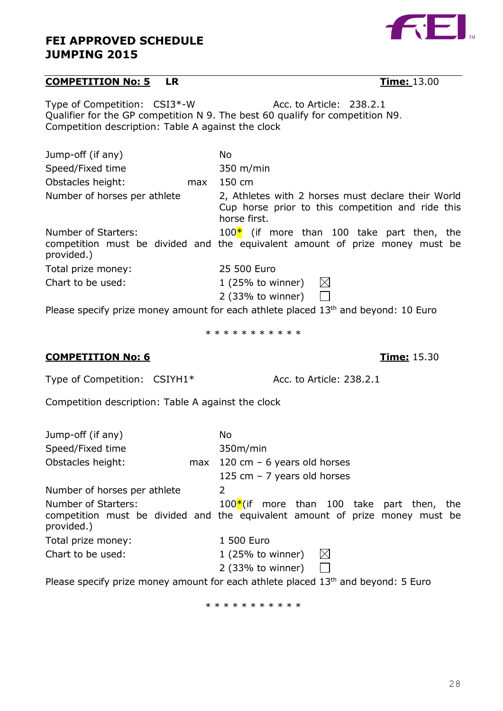## **COMPETITION No: 5 LR Time:** 13.00

Type of Competition: CSI3\*-W Acc. to Article: 238.2.1 Qualifier for the GP competition N 9. The best 60 qualify for competition N9. Competition description: Table A against the clock

| Jump-off (if any)                 | No.                                                                                                                           |  |  |
|-----------------------------------|-------------------------------------------------------------------------------------------------------------------------------|--|--|
|                                   |                                                                                                                               |  |  |
| Speed/Fixed time                  | $350 \; \text{m/min}$                                                                                                         |  |  |
| Obstacles height:<br>max          | $150 \text{ cm}$                                                                                                              |  |  |
| Number of horses per athlete      | 2, Athletes with 2 horses must declare their World<br>Cup horse prior to this competition and ride this<br>horse first.       |  |  |
| Number of Starters:<br>provided.) | 100 $*$ (if more than 100 take part then, the<br>competition must be divided and the equivalent amount of prize money must be |  |  |
| Total prize money:                | 25 500 Euro                                                                                                                   |  |  |
| Chart to be used:                 | $1(25%$ to winner)<br>$\bowtie$                                                                                               |  |  |
|                                   | $2$ (33% to winner)                                                                                                           |  |  |

Please specify prize money amount for each athlete placed 13<sup>th</sup> and beyond: 10 Euro

\* \* \* \* \* \* \* \* \* \*

## **COMPETITION No: 6 Time:** 15.30

Type of Competition: CSIYH1\* Acc. to Article: 238.2.1

Competition description: Table A against the clock

| Jump-off (if any)                 |     | No.                                                                                                                          |  |  |
|-----------------------------------|-----|------------------------------------------------------------------------------------------------------------------------------|--|--|
| Speed/Fixed time                  |     | 350m/min                                                                                                                     |  |  |
| Obstacles height:                 | max | 120 cm $-6$ years old horses                                                                                                 |  |  |
|                                   |     | 125 cm $-$ 7 years old horses                                                                                                |  |  |
| Number of horses per athlete      |     | 2                                                                                                                            |  |  |
| Number of Starters:<br>provided.) |     | $100*$ (if more than 100 take part then, the<br>competition must be divided and the equivalent amount of prize money must be |  |  |
| Total prize money:                |     | 1 500 Euro                                                                                                                   |  |  |
| Chart to be used:                 |     | $1(25%$ to winner)<br>$\boxtimes$                                                                                            |  |  |
|                                   |     | $2$ (33% to winner)<br>$\mathbf{1}$                                                                                          |  |  |
|                                   |     | Bloase specify prize menoy amount for each athlete placed 12th and boyand: E Euro                                            |  |  |

Please specify prize money amount for each athlete placed 13<sup>th</sup> and beyond: 5 Euro

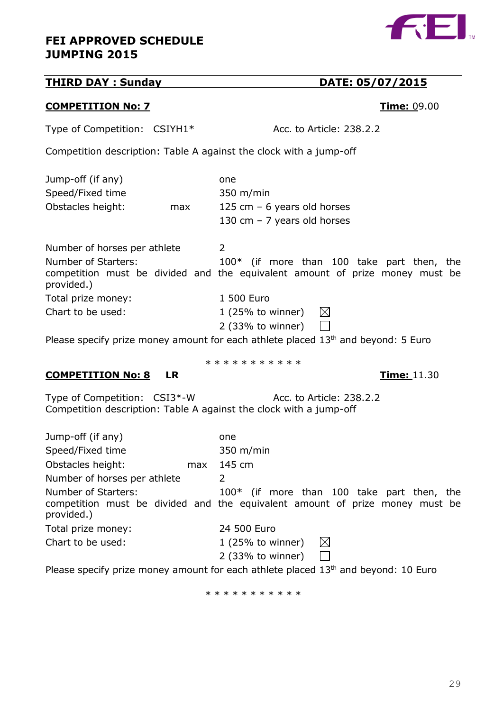## **THIRD DAY : Sunday DATE: 05/07/2015**

## **COMPETITION No: 7 Time:** 09.00

Type of Competition: CSIYH1\* Acc. to Article: 238.2.2

Number of horses per athlete 2

Competition description: Table A against the clock with a jump-off

| Jump-off (if any) |     | one                           |
|-------------------|-----|-------------------------------|
| Speed/Fixed time  |     | $350 \; \text{m/min}$         |
| Obstacles height: | max | 125 cm $-$ 6 years old horses |
|                   |     | 130 cm $-$ 7 years old horses |

#### Number of Starters: 100\* (if more than 100 take part then, the competition must be divided and the equivalent amount of prize money must be provided.) Total prize money: 1 500 Euro Chart to be used: 1 (25% to winner)  $\boxtimes$  $\Box$

\* \* \* \* \* \* \* \* \* \*

2 (33% to winner)

Please specify prize money amount for each athlete placed  $13<sup>th</sup>$  and beyond: 5 Euro

**COMPETITION No: 8 LR Time:** 11.30

Type of Competition: CSI3\*-W Acc. to Article: 238.2.2 Competition description: Table A against the clock with a jump-off

| Jump-off (if any)                 | one                                                                                                                          |
|-----------------------------------|------------------------------------------------------------------------------------------------------------------------------|
| Speed/Fixed time                  | $350 \; \text{m/min}$                                                                                                        |
| Obstacles height:<br>max          | 145 cm                                                                                                                       |
| Number of horses per athlete      | 2                                                                                                                            |
| Number of Starters:<br>provided.) | $100*$ (if more than 100 take part then, the<br>competition must be divided and the equivalent amount of prize money must be |
| Total prize money:                | 24 500 Euro                                                                                                                  |
| Chart to be used:                 | $\bowtie$<br>$1(25%$ to winner)<br>2 (33% to winner)                                                                         |

Please specify prize money amount for each athlete placed 13<sup>th</sup> and beyond: 10 Euro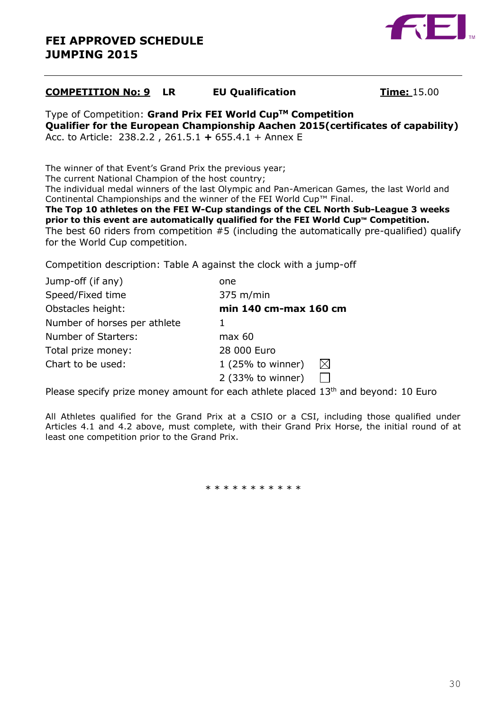

## **COMPETITION No: 9 LR EU Qualification Time:** 15.00

Type of Competition: **Grand Prix FEI World CupTM Competition Qualifier for the European Championship Aachen 2015(certificates of capability)** Acc. to Article: 238.2.2 , 261.5.1 **+** 655.4.1 + Annex E

The winner of that Event's Grand Prix the previous year;

The current National Champion of the host country;

The individual medal winners of the last Olympic and Pan-American Games, the last World and Continental Championships and the winner of the FEI World Cup™ Final.

**The Top 10 athletes on the FEI W-Cup standings of the CEL North Sub-League 3 weeks prior to this event are automatically qualified for the FEI World Cup™ Competition.** The best 60 riders from competition #5 (including the automatically pre-qualified) qualify for the World Cup competition.

Competition description: Table A against the clock with a jump-off

| Jump-off (if any)            | one                             |
|------------------------------|---------------------------------|
| Speed/Fixed time             | $375$ m/min                     |
| Obstacles height:            | min 140 cm-max 160 cm           |
| Number of horses per athlete |                                 |
| Number of Starters:          | max 60                          |
| Total prize money:           | 28 000 Euro                     |
| Chart to be used:            | $\bowtie$<br>$1(25%$ to winner) |
|                              | $2$ (33% to winner)             |

Please specify prize money amount for each athlete placed 13<sup>th</sup> and beyond: 10 Euro

All Athletes qualified for the Grand Prix at a CSIO or a CSI, including those qualified under Articles 4.1 and 4.2 above, must complete, with their Grand Prix Horse, the initial round of at least one competition prior to the Grand Prix.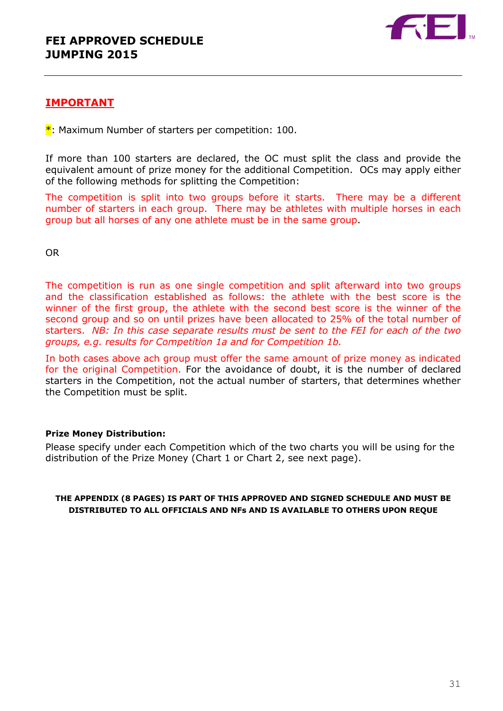

## **IMPORTANT**

 $*$ : Maximum Number of starters per competition: 100.

If more than 100 starters are declared, the OC must split the class and provide the equivalent amount of prize money for the additional Competition. OCs may apply either of the following methods for splitting the Competition:

The competition is split into two groups before it starts. There may be a different number of starters in each group. There may be athletes with multiple horses in each group but all horses of any one athlete must be in the same group.

OR

The competition is run as one single competition and split afterward into two groups and the classification established as follows: the athlete with the best score is the winner of the first group, the athlete with the second best score is the winner of the second group and so on until prizes have been allocated to 25% of the total number of starters. *NB: In this case separate results must be sent to the FEI for each of the two groups, e.g. results for Competition 1a and for Competition 1b.*

In both cases above ach group must offer the same amount of prize money as indicated for the original Competition. For the avoidance of doubt, it is the number of declared starters in the Competition, not the actual number of starters, that determines whether the Competition must be split.

#### **Prize Money Distribution:**

Please specify under each Competition which of the two charts you will be using for the distribution of the Prize Money (Chart 1 or Chart 2, see next page).

**THE APPENDIX (8 PAGES) IS PART OF THIS APPROVED AND SIGNED SCHEDULE AND MUST BE DISTRIBUTED TO ALL OFFICIALS AND NFs AND IS AVAILABLE TO OTHERS UPON REQUE**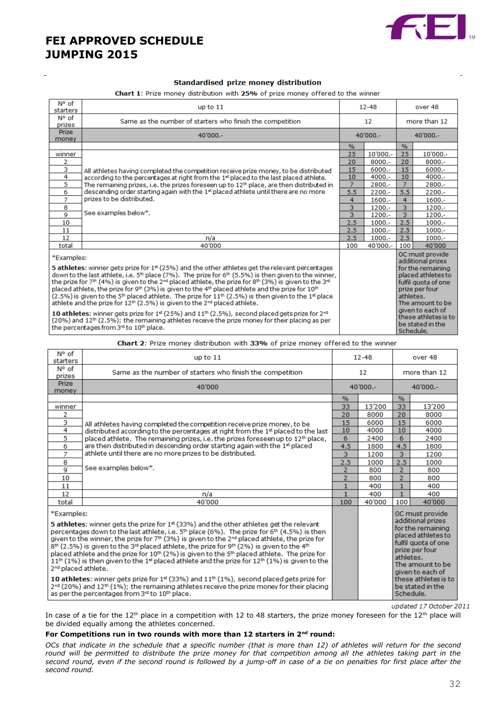

#### Standardised prize money distribution

Chart 1: Prize money distribution with 25% of prize money offered to the winner

| N° of<br>starters                                                                                                                                                                                                                                                                                                                                                                                                                                                                                                                                                                                                                                                                                                                                                                                                                                                                                                                                                                                                                                              | up to $11$                                                                                        |                | $12 - 48$ |                        | over 48                                                                                                                                                                                                      |  |
|----------------------------------------------------------------------------------------------------------------------------------------------------------------------------------------------------------------------------------------------------------------------------------------------------------------------------------------------------------------------------------------------------------------------------------------------------------------------------------------------------------------------------------------------------------------------------------------------------------------------------------------------------------------------------------------------------------------------------------------------------------------------------------------------------------------------------------------------------------------------------------------------------------------------------------------------------------------------------------------------------------------------------------------------------------------|---------------------------------------------------------------------------------------------------|----------------|-----------|------------------------|--------------------------------------------------------------------------------------------------------------------------------------------------------------------------------------------------------------|--|
| N° of<br>prizes                                                                                                                                                                                                                                                                                                                                                                                                                                                                                                                                                                                                                                                                                                                                                                                                                                                                                                                                                                                                                                                | Same as the number of starters who finish the competition<br>12                                   |                |           | more than 12           |                                                                                                                                                                                                              |  |
| <b>Prize</b><br>money                                                                                                                                                                                                                                                                                                                                                                                                                                                                                                                                                                                                                                                                                                                                                                                                                                                                                                                                                                                                                                          | $40'000 -$                                                                                        | $40'000 -$     |           | $40'000 -$             |                                                                                                                                                                                                              |  |
|                                                                                                                                                                                                                                                                                                                                                                                                                                                                                                                                                                                                                                                                                                                                                                                                                                                                                                                                                                                                                                                                |                                                                                                   | %              |           | $\%$                   |                                                                                                                                                                                                              |  |
| winner                                                                                                                                                                                                                                                                                                                                                                                                                                                                                                                                                                                                                                                                                                                                                                                                                                                                                                                                                                                                                                                         |                                                                                                   | 25             | 10'000 .- | 25                     | 10'000 .-                                                                                                                                                                                                    |  |
| $\overline{2}$                                                                                                                                                                                                                                                                                                                                                                                                                                                                                                                                                                                                                                                                                                                                                                                                                                                                                                                                                                                                                                                 |                                                                                                   | 20             | $8000 -$  | 20                     | $8000 -$                                                                                                                                                                                                     |  |
| 3                                                                                                                                                                                                                                                                                                                                                                                                                                                                                                                                                                                                                                                                                                                                                                                                                                                                                                                                                                                                                                                              | All athletes having completed the competition receive prize money, to be distributed              | 15             | $6000 -$  | 15                     | $6000 -$                                                                                                                                                                                                     |  |
| 4                                                                                                                                                                                                                                                                                                                                                                                                                                                                                                                                                                                                                                                                                                                                                                                                                                                                                                                                                                                                                                                              | according to the percentages at right from the 1 <sup>st</sup> placed to the last placed athlete. | 10             | $4000 -$  | 10                     | $4000 -$                                                                                                                                                                                                     |  |
| 5                                                                                                                                                                                                                                                                                                                                                                                                                                                                                                                                                                                                                                                                                                                                                                                                                                                                                                                                                                                                                                                              | The remaining prizes, i.e. the prizes foreseen up to $12th$ place, are then distributed in        | $\overline{7}$ | 2800.-    | $\overline{7}$         | 2800 .-                                                                                                                                                                                                      |  |
| 6                                                                                                                                                                                                                                                                                                                                                                                                                                                                                                                                                                                                                                                                                                                                                                                                                                                                                                                                                                                                                                                              | descending order starting again with the 1 <sup>st</sup> placed athlete until there are no more   | 5.5            | $2200 -$  | 5.5                    | $2200 -$                                                                                                                                                                                                     |  |
| $\overline{7}$                                                                                                                                                                                                                                                                                                                                                                                                                                                                                                                                                                                                                                                                                                                                                                                                                                                                                                                                                                                                                                                 | prizes to be distributed.                                                                         | 4              | $1600 -$  | $\overline{4}$         | $1600 -$                                                                                                                                                                                                     |  |
| 8                                                                                                                                                                                                                                                                                                                                                                                                                                                                                                                                                                                                                                                                                                                                                                                                                                                                                                                                                                                                                                                              | See examples below*.                                                                              | 3              | 1200 .-   | 3.                     | 1200 .-                                                                                                                                                                                                      |  |
| 9                                                                                                                                                                                                                                                                                                                                                                                                                                                                                                                                                                                                                                                                                                                                                                                                                                                                                                                                                                                                                                                              |                                                                                                   | 3              | 1200 .-   | $\overline{3}$         | $1200 -$                                                                                                                                                                                                     |  |
| 10                                                                                                                                                                                                                                                                                                                                                                                                                                                                                                                                                                                                                                                                                                                                                                                                                                                                                                                                                                                                                                                             |                                                                                                   | 2.5            | $1000.-$  | 2.5                    | $1000.-$                                                                                                                                                                                                     |  |
| 11                                                                                                                                                                                                                                                                                                                                                                                                                                                                                                                                                                                                                                                                                                                                                                                                                                                                                                                                                                                                                                                             |                                                                                                   | 2.5            | $1000.-$  | 2.5                    | $1000.-$                                                                                                                                                                                                     |  |
| 12                                                                                                                                                                                                                                                                                                                                                                                                                                                                                                                                                                                                                                                                                                                                                                                                                                                                                                                                                                                                                                                             | n/a                                                                                               | 2.5            | $1000.-$  | 2.5                    | $1000.-$                                                                                                                                                                                                     |  |
| total                                                                                                                                                                                                                                                                                                                                                                                                                                                                                                                                                                                                                                                                                                                                                                                                                                                                                                                                                                                                                                                          | 40'000                                                                                            | 100            | 40'000 .- | 100                    | 40'000                                                                                                                                                                                                       |  |
| *Examples:<br><b>5 athletes:</b> winner gets prize for $1st$ (25%) and the other athletes get the relevant percentages<br>down to the last athlete, i.e. $5th$ place (7%). The prize for 6 <sup>th</sup> (5.5%) is then given to the winner,<br>the prize for 7 <sup>th</sup> (4%) is given to the 2 <sup>nd</sup> placed athlete, the prize for 8 <sup>th</sup> (3%) is given to the 3 <sup>nd</sup><br>placed athlete, the prize for 9th (3%) is given to the 4th placed athlete and the prize for 10th<br>$(2.5\%)$ is given to the 5 <sup>th</sup> placed athlete. The prize for 11 <sup>th</sup> $(2.5\%)$ is then given to the 1 <sup>st</sup> place<br>athlete and the prize for 12 <sup>th</sup> (2.5%) is given to the 2 <sup>nd</sup> placed athlete.<br>10 athletes: winner gets prize for 1 <sup>st</sup> (25%) and 11 <sup>th</sup> (2.5%), second placed gets prize for 2 <sup>nd</sup><br>(20%) and 12 <sup>th</sup> (2.5%); the remaining athletes receive the prize money for their placing as per<br>the percentages from 3rd to 10th place. |                                                                                                   |                |           | athletes.<br>Schedule. | OC must provide<br>additional prizes<br>for the remaining<br>placed athletes to<br>fulfil quota of one<br>prize per four<br>The amount to be<br>given to each of<br>these athletes is to<br>be stated in the |  |

#### Chart 2: Prize money distribution with 33% of prize money offered to the winner

| N° of<br>starters                                                                                                                                                                                                                                                                                                                                                                                                                                                                                                                                                                                                                                                                                                                                            | up to $11$                                                                                   |                | $12 - 48$ |                                                                                                                                                                               | over 48                                  |  |
|--------------------------------------------------------------------------------------------------------------------------------------------------------------------------------------------------------------------------------------------------------------------------------------------------------------------------------------------------------------------------------------------------------------------------------------------------------------------------------------------------------------------------------------------------------------------------------------------------------------------------------------------------------------------------------------------------------------------------------------------------------------|----------------------------------------------------------------------------------------------|----------------|-----------|-------------------------------------------------------------------------------------------------------------------------------------------------------------------------------|------------------------------------------|--|
| N° of<br>prizes                                                                                                                                                                                                                                                                                                                                                                                                                                                                                                                                                                                                                                                                                                                                              | Same as the number of starters who finish the competition                                    |                | 12        |                                                                                                                                                                               | more than 12                             |  |
| <b>Prize</b><br>money                                                                                                                                                                                                                                                                                                                                                                                                                                                                                                                                                                                                                                                                                                                                        | 40'000                                                                                       | $40'000 -$     |           | $40'000 -$                                                                                                                                                                    |                                          |  |
|                                                                                                                                                                                                                                                                                                                                                                                                                                                                                                                                                                                                                                                                                                                                                              |                                                                                              | $\%$           |           | $\%$                                                                                                                                                                          |                                          |  |
| winner                                                                                                                                                                                                                                                                                                                                                                                                                                                                                                                                                                                                                                                                                                                                                       |                                                                                              | 33             | 13'200    | 33                                                                                                                                                                            | 13'200                                   |  |
| 2                                                                                                                                                                                                                                                                                                                                                                                                                                                                                                                                                                                                                                                                                                                                                            |                                                                                              | 20             | 8000      | 20                                                                                                                                                                            | 8000                                     |  |
| 3                                                                                                                                                                                                                                                                                                                                                                                                                                                                                                                                                                                                                                                                                                                                                            | All athletes having completed the competition receive prize money, to be                     | 15             | 6000      | 15                                                                                                                                                                            | 6000                                     |  |
| 4                                                                                                                                                                                                                                                                                                                                                                                                                                                                                                                                                                                                                                                                                                                                                            | distributed according to the percentages at right from the 1st placed to the last            | 10             | 4000      | 10                                                                                                                                                                            | 4000                                     |  |
| 5                                                                                                                                                                                                                                                                                                                                                                                                                                                                                                                                                                                                                                                                                                                                                            | placed athlete. The remaining prizes, i.e. the prizes foreseen up to 12 <sup>th</sup> place, | 6              | 2400      | 6                                                                                                                                                                             | 2400                                     |  |
| 6                                                                                                                                                                                                                                                                                                                                                                                                                                                                                                                                                                                                                                                                                                                                                            | are then distributed in descending order starting again with the 1 <sup>st</sup> placed      | 4.5            | 1800      | 4.5                                                                                                                                                                           | 1800                                     |  |
| 7                                                                                                                                                                                                                                                                                                                                                                                                                                                                                                                                                                                                                                                                                                                                                            | athlete until there are no more prizes to be distributed.                                    | 3              | 1200      | 3                                                                                                                                                                             | 1200                                     |  |
| 8                                                                                                                                                                                                                                                                                                                                                                                                                                                                                                                                                                                                                                                                                                                                                            |                                                                                              | 2.5            | 1000      | 2.5                                                                                                                                                                           | 1000                                     |  |
| 9                                                                                                                                                                                                                                                                                                                                                                                                                                                                                                                                                                                                                                                                                                                                                            | See examples below*.                                                                         | $\overline{2}$ | 800       | $\overline{2}$                                                                                                                                                                | 800                                      |  |
| 10                                                                                                                                                                                                                                                                                                                                                                                                                                                                                                                                                                                                                                                                                                                                                           |                                                                                              | $\overline{2}$ | 800       | $\overline{2}$                                                                                                                                                                | 800                                      |  |
| 11                                                                                                                                                                                                                                                                                                                                                                                                                                                                                                                                                                                                                                                                                                                                                           |                                                                                              | $\mathbf{1}$   | 400       | 1                                                                                                                                                                             | 400                                      |  |
| 12                                                                                                                                                                                                                                                                                                                                                                                                                                                                                                                                                                                                                                                                                                                                                           | n/a                                                                                          | $\mathbf{1}$   | 400       | $\mathbf{1}$                                                                                                                                                                  | 400                                      |  |
| total                                                                                                                                                                                                                                                                                                                                                                                                                                                                                                                                                                                                                                                                                                                                                        | 40'000                                                                                       | 100            | 40'000    | 100                                                                                                                                                                           | 40'000                                   |  |
| *Examples:<br><b>5 athletes:</b> winner gets the prize for $1st$ (33%) and the other athletes get the relevant<br>percentages down to the last athlete, i.e. $5th$ place (6%). The prize for 6 <sup>th</sup> (4.5%) is then<br>given to the winner, the prize for $7th$ (3%) is given to the $2nd$ placed athlete, the prize for<br>$8th$ (2.5%) is given to the 3 <sup>rd</sup> placed athlete, the prize for 9 <sup>th</sup> (2%) is given to the 4 <sup>th</sup><br>placed athlete and the prize for 10 <sup>th</sup> (2%) is given to the 5 <sup>th</sup> placed athlete. The prize for<br>$11^{th}$ (1%) is then given to the 1 <sup>st</sup> placed athlete and the prize for 12 <sup>th</sup> (1%) is given to the<br>2 <sup>nd</sup> placed athlete. |                                                                                              |                |           | OC must provide<br>additional prizes<br>for the remaining<br>placed athletes to<br>fulfil quota of one<br>prize per four<br>athletes.<br>The amount to be<br>given to each of |                                          |  |
| 10 athletes: winner gets prize for $1st$ (33%) and $11th$ (1%), second placed gets prize for<br>2 <sup>nd</sup> (20%) and 12 <sup>th</sup> (1%); the remaining athletes receive the prize money for their placing<br>as per the percentages from 3rd to 10th place.                                                                                                                                                                                                                                                                                                                                                                                                                                                                                          |                                                                                              |                |           | Schedule.                                                                                                                                                                     | these athletes is to<br>be stated in the |  |

updated 17 October 2011

In case of a tie for the  $12^{th}$  place in a competition with 12 to 48 starters, the prize money foreseen for the  $12^{th}$  place will be divided equally among the athletes concerned.

#### **For Competitions run in two rounds with more than 12 starters in 2nd round:**

*OCs that indicate in the schedule that a specific number (that is more than 12) of athletes will return for the second*  round will be permitted to distribute the prize money for that competition among all the athletes taking part in the *second round, even if the second round is followed by a jump-off in case of a tie on penalties for first place after the second round.*